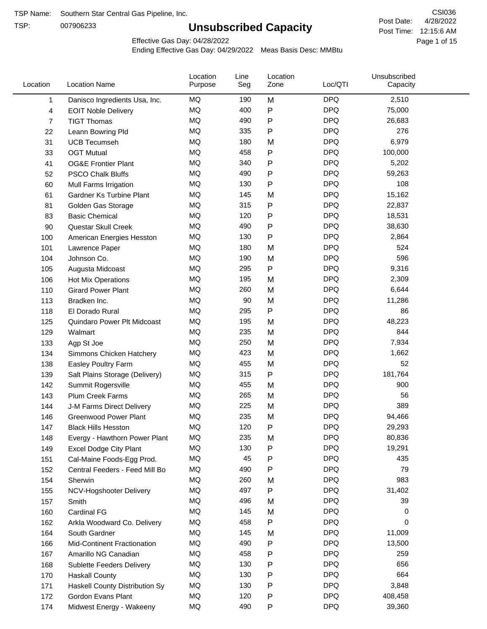TSP:

## **Unsubscribed Capacity**

4/28/2022 Page 1 of 15 Post Time: 12:15:6 AM CSI036 Post Date:

Effective Gas Day: 04/28/2022

| Location     | <b>Location Name</b>               | Location<br>Purpose | Line<br>Seg | Location<br>Zone | Loc/QTI    | Unsubscribed<br>Capacity |  |
|--------------|------------------------------------|---------------------|-------------|------------------|------------|--------------------------|--|
| $\mathbf{1}$ | Danisco Ingredients Usa, Inc.      | MQ                  | 190         | M                | <b>DPQ</b> | 2,510                    |  |
| 4            | <b>EOIT Noble Delivery</b>         | MQ                  | 400         | P                | <b>DPQ</b> | 75,000                   |  |
| 7            | <b>TIGT Thomas</b>                 | <b>MQ</b>           | 490         | P                | <b>DPQ</b> | 26,683                   |  |
| 22           | Leann Bowring Pld                  | <b>MQ</b>           | 335         | P                | <b>DPQ</b> | 276                      |  |
| 31           | <b>UCB Tecumseh</b>                | <b>MQ</b>           | 180         | M                | <b>DPQ</b> | 6,979                    |  |
| 33           | <b>OGT Mutual</b>                  | <b>MQ</b>           | 458         | P                | <b>DPQ</b> | 100,000                  |  |
| 41           | <b>OG&amp;E Frontier Plant</b>     | MQ                  | 340         | P                | <b>DPQ</b> | 5,202                    |  |
| 52           | <b>PSCO Chalk Bluffs</b>           | MQ                  | 490         | P                | <b>DPQ</b> | 59,263                   |  |
| 60           | Mull Farms Irrigation              | <b>MQ</b>           | 130         | P                | <b>DPQ</b> | 108                      |  |
| 61           | Gardner Ks Turbine Plant           | <b>MQ</b>           | 145         | M                | <b>DPQ</b> | 15,162                   |  |
| 81           | Golden Gas Storage                 | MQ                  | 315         | P                | <b>DPQ</b> | 22,837                   |  |
| 83           | <b>Basic Chemical</b>              | <b>MQ</b>           | 120         | P                | <b>DPQ</b> | 18,531                   |  |
| 90           | Questar Skull Creek                | MQ                  | 490         | P                | <b>DPQ</b> | 38,630                   |  |
| 100          | American Energies Hesston          | <b>MQ</b>           | 130         | P                | <b>DPQ</b> | 2,864                    |  |
| 101          | Lawrence Paper                     | <b>MQ</b>           | 180         | M                | <b>DPQ</b> | 524                      |  |
| 104          | Johnson Co.                        | MQ                  | 190         | M                | <b>DPQ</b> | 596                      |  |
| 105          | Augusta Midcoast                   | <b>MQ</b>           | 295         | P                | <b>DPQ</b> | 9,316                    |  |
| 106          | Hot Mix Operations                 | <b>MQ</b>           | 195         | M                | <b>DPQ</b> | 2,309                    |  |
| 110          | <b>Girard Power Plant</b>          | <b>MQ</b>           | 260         | M                | <b>DPQ</b> | 6,644                    |  |
| 113          | Bradken Inc.                       | MQ                  | 90          | M                | <b>DPQ</b> | 11,286                   |  |
| 118          | El Dorado Rural                    | MQ                  | 295         | P                | <b>DPQ</b> | 86                       |  |
| 125          | Quindaro Power Plt Midcoast        | <b>MQ</b>           | 195         | M                | <b>DPQ</b> | 48,223                   |  |
| 129          | Walmart                            | <b>MQ</b>           | 235         | M                | <b>DPQ</b> | 844                      |  |
| 133          | Agp St Joe                         | <b>MQ</b>           | 250         | M                | <b>DPQ</b> | 7,934                    |  |
| 134          | Simmons Chicken Hatchery           | <b>MQ</b>           | 423         | M                | <b>DPQ</b> | 1,662                    |  |
| 138          | Easley Poultry Farm                | MQ                  | 455         | M                | <b>DPQ</b> | 52                       |  |
| 139          | Salt Plains Storage (Delivery)     | MQ                  | 315         | P                | <b>DPQ</b> | 181,764                  |  |
| 142          | Summit Rogersville                 | MQ                  | 455         | M                | <b>DPQ</b> | 900                      |  |
| 143          | <b>Plum Creek Farms</b>            | MQ                  | 265         | M                | <b>DPQ</b> | 56                       |  |
| 144          | J-M Farms Direct Delivery          | MQ                  | 225         | M                | <b>DPQ</b> | 389                      |  |
| 146          | <b>Greenwood Power Plant</b>       | MQ                  | 235         | M                | <b>DPQ</b> | 94,466                   |  |
| 147          | <b>Black Hills Hesston</b>         | MQ                  | 120         | Ρ                | <b>DPQ</b> | 29,293                   |  |
| 148          | Evergy - Hawthorn Power Plant      | ΜQ                  | 235         | M                | <b>DPQ</b> | 80,836                   |  |
| 149          | <b>Excel Dodge City Plant</b>      | MQ                  | 130         | Ρ                | <b>DPQ</b> | 19,291                   |  |
| 151          | Cal-Maine Foods-Egg Prod.          | MQ                  | 45          | P                | <b>DPQ</b> | 435                      |  |
| 152          | Central Feeders - Feed Mill Bo     | MQ                  | 490         | P                | <b>DPQ</b> | 79                       |  |
| 154          | Sherwin                            | MQ                  | 260         | M                | <b>DPQ</b> | 983                      |  |
| 155          | NCV-Hogshooter Delivery            | MQ                  | 497         | P                | <b>DPQ</b> | 31,402                   |  |
| 157          | Smith                              | MQ                  | 496         | M                | <b>DPQ</b> | 39                       |  |
| 160          | Cardinal FG                        | MQ                  | 145         | M                | <b>DPQ</b> | 0                        |  |
| 162          | Arkla Woodward Co. Delivery        | MQ                  | 458         | P                | <b>DPQ</b> | 0                        |  |
| 164          | South Gardner                      | MQ                  | 145         | M                | <b>DPQ</b> | 11,009                   |  |
| 166          | <b>Mid-Continent Fractionation</b> | MQ                  | 490         | Ρ                | <b>DPQ</b> | 13,500                   |  |
| 167          | Amarillo NG Canadian               | MQ                  | 458         | Ρ                | <b>DPQ</b> | 259                      |  |
| 168          | <b>Sublette Feeders Delivery</b>   | MQ                  | 130         | Ρ                | <b>DPQ</b> | 656                      |  |
| 170          | <b>Haskall County</b>              | MQ                  | 130         | P                | <b>DPQ</b> | 664                      |  |
| 171          | Haskell County Distribution Sy     | MQ                  | 130         | Ρ                | <b>DPQ</b> | 3,848                    |  |
| 172          | Gordon Evans Plant                 | MQ                  | 120         | Ρ                | <b>DPQ</b> | 408,458                  |  |
| 174          | Midwest Energy - Wakeeny           | MQ                  | 490         | P                | <b>DPQ</b> | 39,360                   |  |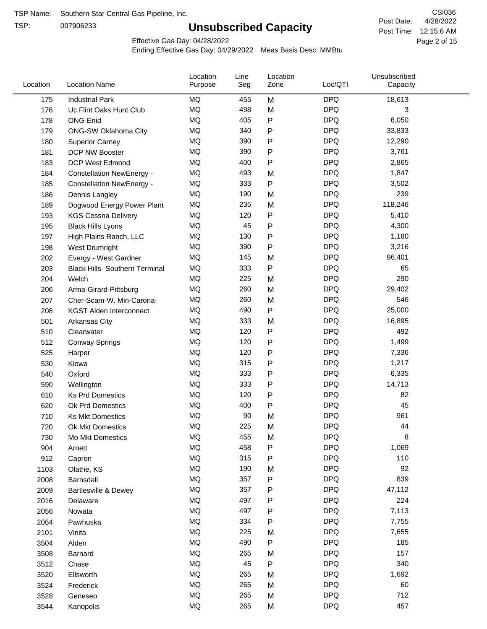TSP:

## **Unsubscribed Capacity**

4/28/2022 Page 2 of 15 Post Time: 12:15:6 AM CSI036 Post Date:

Effective Gas Day: 04/28/2022

| Location | <b>Location Name</b>                  | Location<br>Purpose | Line<br>Seg | Location<br>Zone | Loc/QTI    | Unsubscribed<br>Capacity |  |
|----------|---------------------------------------|---------------------|-------------|------------------|------------|--------------------------|--|
| 175      | <b>Industrial Park</b>                | <b>MQ</b>           | 455         | M                | <b>DPQ</b> | 18,613                   |  |
| 176      | Uc Flint Oaks Hunt Club               | MQ                  | 498         | M                | <b>DPQ</b> | 3                        |  |
| 178      | ONG-Enid                              | MQ                  | 405         | P                | <b>DPQ</b> | 6,050                    |  |
| 179      | ONG-SW Oklahoma City                  | MQ                  | 340         | Ρ                | <b>DPQ</b> | 33,833                   |  |
| 180      | <b>Superior Carney</b>                | <b>MQ</b>           | 390         | P                | <b>DPQ</b> | 12,290                   |  |
| 181      | DCP NW Booster                        | <b>MQ</b>           | 390         | P                | <b>DPQ</b> | 3,761                    |  |
| 183      | <b>DCP West Edmond</b>                | MQ                  | 400         | Ρ                | <b>DPQ</b> | 2,865                    |  |
| 184      | <b>Constellation NewEnergy -</b>      | MQ                  | 493         | M                | <b>DPQ</b> | 1,847                    |  |
| 185      | <b>Constellation NewEnergy -</b>      | MQ                  | 333         | P                | <b>DPQ</b> | 3,502                    |  |
| 186      | Dennis Langley                        | <b>MQ</b>           | 190         | M                | <b>DPQ</b> | 239                      |  |
| 189      | Dogwood Energy Power Plant            | MQ                  | 235         | M                | <b>DPQ</b> | 118,246                  |  |
| 193      | <b>KGS Cessna Delivery</b>            | <b>MQ</b>           | 120         | P                | <b>DPQ</b> | 5,410                    |  |
| 195      | <b>Black Hills Lyons</b>              | MQ                  | 45          | P                | <b>DPQ</b> | 4,300                    |  |
| 197      | High Plains Ranch, LLC                | <b>MQ</b>           | 130         | Ρ                | <b>DPQ</b> | 1,180                    |  |
| 198      | West Drumright                        | <b>MQ</b>           | 390         | P                | <b>DPQ</b> | 3,216                    |  |
| 202      | Evergy - West Gardner                 | <b>MQ</b>           | 145         | M                | <b>DPQ</b> | 96,401                   |  |
| 203      | <b>Black Hills- Southern Terminal</b> | <b>MQ</b>           | 333         | P                | <b>DPQ</b> | 65                       |  |
| 204      | Welch                                 | <b>MQ</b>           | 225         | M                | <b>DPQ</b> | 290                      |  |
| 206      | Arma-Girard-Pittsburg                 | <b>MQ</b>           | 260         | M                | <b>DPQ</b> | 29,402                   |  |
| 207      | Cher-Scam-W. Min-Carona-              | <b>MQ</b>           | 260         | M                | <b>DPQ</b> | 546                      |  |
| 208      | <b>KGST Alden Interconnect</b>        | MQ                  | 490         | P                | <b>DPQ</b> | 25,000                   |  |
| 501      | Arkansas City                         | MQ                  | 333         | M                | <b>DPQ</b> | 16,895                   |  |
| 510      | Clearwater                            | <b>MQ</b>           | 120         | Ρ                | <b>DPQ</b> | 492                      |  |
| 512      | <b>Conway Springs</b>                 | <b>MQ</b>           | 120         | P                | <b>DPQ</b> | 1,499                    |  |
| 525      | Harper                                | <b>MQ</b>           | 120         | Ρ                | <b>DPQ</b> | 7,336                    |  |
| 530      | Kiowa                                 | <b>MQ</b>           | 315         | Ρ                | <b>DPQ</b> | 1,217                    |  |
| 540      | Oxford                                | <b>MQ</b>           | 333         | Ρ                | <b>DPQ</b> | 6,335                    |  |
| 590      | Wellington                            | <b>MQ</b>           | 333         | P                | <b>DPQ</b> | 14,713                   |  |
| 610      | <b>Ks Prd Domestics</b>               | MQ                  | 120         | Ρ                | <b>DPQ</b> | 82                       |  |
| 620      | Ok Prd Domestics                      | <b>MQ</b>           | 400         | P                | <b>DPQ</b> | 45                       |  |
| 710      | <b>Ks Mkt Domestics</b>               | <b>MQ</b>           | 90          | M                | <b>DPQ</b> | 961                      |  |
| 720      | Ok Mkt Domestics                      | <b>MQ</b>           | 225         | M                | <b>DPQ</b> | 44                       |  |
| 730      | Mo Mkt Domestics                      | MQ                  | 455         | M                | <b>DPQ</b> | 8                        |  |
| 904      | Arnett                                | MQ                  | 458         | Ρ                | <b>DPQ</b> | 1,069                    |  |
| 912      | Capron                                | <b>MQ</b>           | 315         | Ρ                | <b>DPQ</b> | 110                      |  |
| 1103     | Olathe, KS                            | MQ                  | 190         | M                | <b>DPQ</b> | 92                       |  |
| 2008     | Barnsdall                             | MQ                  | 357         | Ρ                | <b>DPQ</b> | 839                      |  |
| 2009     | Bartlesville & Dewey                  | MQ                  | 357         | Ρ                | <b>DPQ</b> | 47,112                   |  |
| 2016     | Delaware                              | $\sf{MQ}$           | 497         | P                | <b>DPQ</b> | 224                      |  |
| 2056     | Nowata                                | $\sf{MQ}$           | 497         | P                | <b>DPQ</b> | 7,113                    |  |
| 2064     | Pawhuska                              | MQ                  | 334         | Ρ                | <b>DPQ</b> | 7,755                    |  |
| 2101     | Vinita                                | MQ                  | 225         | M                | <b>DPQ</b> | 7,655                    |  |
| 3504     | Alden                                 | MQ                  | 490         | P                | <b>DPQ</b> | 185                      |  |
| 3508     | Barnard                               | MQ                  | 265         | M                | <b>DPQ</b> | 157                      |  |
| 3512     | Chase                                 | MQ                  | 45          | Ρ                | <b>DPQ</b> | 340                      |  |
| 3520     | Ellsworth                             | MQ                  | 265         | M                | <b>DPQ</b> | 1,692                    |  |
| 3524     | Frederick                             | MQ                  | 265         | M                | <b>DPQ</b> | 60                       |  |
| 3528     | Geneseo                               | $\sf{MQ}$           | 265         | M                | <b>DPQ</b> | 712                      |  |
| 3544     | Kanopolis                             | $\sf{MQ}$           | 265         | M                | <b>DPQ</b> | 457                      |  |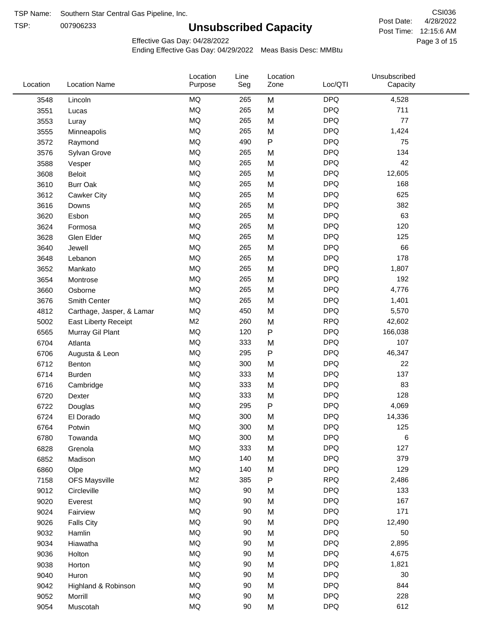TSP: 

# **Unsubscribed Capacity**

4/28/2022 Page 3 of 15 Post Time: 12:15:6 AM CSI036 Post Date:

Unsubscribed

Effective Gas Day: 04/28/2022

Location

Ending Effective Gas Day: 04/29/2022 Meas Basis Desc: MMBtu

Line

| Location | <b>Location Name</b>      | Purpose        | Seg | Zone      | Loc/QTI    | Capacity |  |
|----------|---------------------------|----------------|-----|-----------|------------|----------|--|
| 3548     | Lincoln                   | MQ             | 265 | M         | <b>DPQ</b> | 4,528    |  |
| 3551     | Lucas                     | MQ             | 265 | M         | <b>DPQ</b> | 711      |  |
| 3553     | Luray                     | MQ             | 265 | M         | <b>DPQ</b> | 77       |  |
| 3555     | Minneapolis               | MQ             | 265 | M         | <b>DPQ</b> | 1,424    |  |
| 3572     | Raymond                   | <b>MQ</b>      | 490 | $\sf P$   | <b>DPQ</b> | 75       |  |
| 3576     | Sylvan Grove              | MQ             | 265 | M         | <b>DPQ</b> | 134      |  |
| 3588     | Vesper                    | MQ             | 265 | M         | <b>DPQ</b> | 42       |  |
| 3608     | <b>Beloit</b>             | MQ             | 265 | M         | <b>DPQ</b> | 12,605   |  |
| 3610     | <b>Burr Oak</b>           | $\sf{MQ}$      | 265 | M         | <b>DPQ</b> | 168      |  |
| 3612     | Cawker City               | MQ             | 265 | M         | <b>DPQ</b> | 625      |  |
| 3616     | Downs                     | MQ             | 265 | M         | <b>DPQ</b> | 382      |  |
| 3620     | Esbon                     | MQ             | 265 | M         | <b>DPQ</b> | 63       |  |
| 3624     | Formosa                   | MQ             | 265 | M         | <b>DPQ</b> | 120      |  |
| 3628     | Glen Elder                | MQ             | 265 | M         | <b>DPQ</b> | 125      |  |
| 3640     | Jewell                    | MQ             | 265 | M         | <b>DPQ</b> | 66       |  |
| 3648     | Lebanon                   | MQ             | 265 | M         | <b>DPQ</b> | 178      |  |
| 3652     | Mankato                   | MQ             | 265 | M         | <b>DPQ</b> | 1,807    |  |
| 3654     | Montrose                  | <b>MQ</b>      | 265 | M         | <b>DPQ</b> | 192      |  |
| 3660     | Osborne                   | <b>MQ</b>      | 265 | M         | <b>DPQ</b> | 4,776    |  |
| 3676     | Smith Center              | MQ             | 265 | M         | <b>DPQ</b> | 1,401    |  |
| 4812     | Carthage, Jasper, & Lamar | MQ             | 450 | M         | <b>DPQ</b> | 5,570    |  |
| 5002     | East Liberty Receipt      | M <sub>2</sub> | 260 | M         | <b>RPQ</b> | 42,602   |  |
| 6565     | Murray Gil Plant          | MQ             | 120 | $\sf P$   | <b>DPQ</b> | 166,038  |  |
| 6704     | Atlanta                   | $\sf{MQ}$      | 333 | M         | <b>DPQ</b> | 107      |  |
| 6706     | Augusta & Leon            | $\sf{MQ}$      | 295 | ${\sf P}$ | <b>DPQ</b> | 46,347   |  |
| 6712     | Benton                    | MQ             | 300 | M         | <b>DPQ</b> | 22       |  |
| 6714     | <b>Burden</b>             | MQ             | 333 | M         | <b>DPQ</b> | 137      |  |
| 6716     | Cambridge                 | MQ             | 333 | M         | <b>DPQ</b> | 83       |  |
| 6720     | Dexter                    | MQ             | 333 | M         | <b>DPQ</b> | 128      |  |
| 6722     | Douglas                   | $\sf{MQ}$      | 295 | $\sf P$   | <b>DPQ</b> | 4,069    |  |
| 6724     | El Dorado                 | MQ             | 300 | M         | <b>DPQ</b> | 14,336   |  |
| 6764     | Potwin                    | MQ             | 300 | M         | <b>DPQ</b> | 125      |  |
| 6780     | Towanda                   | $\sf{MQ}$      | 300 | M         | <b>DPQ</b> | 6        |  |
| 6828     | Grenola                   | MQ             | 333 | M         | <b>DPQ</b> | 127      |  |
| 6852     | Madison                   | MQ             | 140 | M         | <b>DPQ</b> | 379      |  |
| 6860     | Olpe                      | MQ             | 140 | M         | <b>DPQ</b> | 129      |  |
| 7158     | <b>OFS Maysville</b>      | M <sub>2</sub> | 385 | ${\sf P}$ | <b>RPQ</b> | 2,486    |  |
| 9012     | Circleville               | MQ             | 90  | M         | <b>DPQ</b> | 133      |  |
| 9020     | Everest                   | $\sf{MQ}$      | 90  | M         | <b>DPQ</b> | 167      |  |
| 9024     | Fairview                  | MQ             | 90  | M         | <b>DPQ</b> | 171      |  |
| 9026     | <b>Falls City</b>         | MQ             | 90  | M         | <b>DPQ</b> | 12,490   |  |
| 9032     | Hamlin                    | MQ             | 90  | M         | <b>DPQ</b> | 50       |  |
| 9034     | Hiawatha                  | MQ             | 90  | M         | <b>DPQ</b> | 2,895    |  |
| 9036     | Holton                    | MQ             | 90  | M         | <b>DPQ</b> | 4,675    |  |
| 9038     | Horton                    | MQ             | 90  | M         | <b>DPQ</b> | 1,821    |  |
| 9040     | Huron                     | MQ             | 90  | M         | <b>DPQ</b> | 30       |  |
| 9042     | Highland & Robinson       | MQ             | 90  | M         | <b>DPQ</b> | 844      |  |
| 9052     | Morrill                   | $\sf{MQ}$      | 90  | M         | <b>DPQ</b> | 228      |  |
| 9054     | Muscotah                  | MQ             | 90  | M         | <b>DPQ</b> | 612      |  |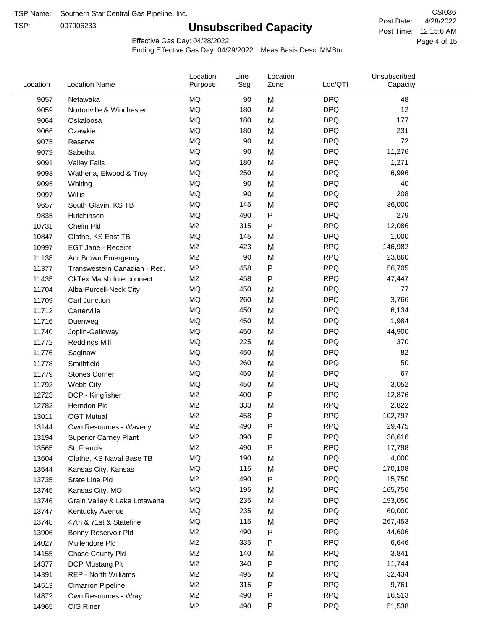TSP:

## **Unsubscribed Capacity**

4/28/2022 Page 4 of 15 Post Time: 12:15:6 AM CSI036 Post Date:

Effective Gas Day: 04/28/2022

| Location | <b>Location Name</b>            | Location<br>Purpose | Line<br>Seg | Location<br>Zone | Loc/QTI    | Unsubscribed<br>Capacity |  |
|----------|---------------------------------|---------------------|-------------|------------------|------------|--------------------------|--|
| 9057     | Netawaka                        | MQ                  | 90          | M                | <b>DPQ</b> | 48                       |  |
| 9059     | Nortonville & Winchester        | MQ                  | 180         | M                | <b>DPQ</b> | 12                       |  |
| 9064     | Oskaloosa                       | MQ                  | 180         | M                | <b>DPQ</b> | 177                      |  |
| 9066     | Ozawkie                         | <b>MQ</b>           | 180         | M                | <b>DPQ</b> | 231                      |  |
| 9075     | Reserve                         | <b>MQ</b>           | 90          | M                | <b>DPQ</b> | 72                       |  |
| 9079     | Sabetha                         | <b>MQ</b>           | 90          | M                | <b>DPQ</b> | 11,276                   |  |
| 9091     | <b>Valley Falls</b>             | <b>MQ</b>           | 180         | M                | <b>DPQ</b> | 1,271                    |  |
| 9093     | Wathena, Elwood & Troy          | <b>MQ</b>           | 250         | M                | <b>DPQ</b> | 6,996                    |  |
| 9095     | Whiting                         | MQ                  | 90          | M                | <b>DPQ</b> | 40                       |  |
| 9097     | <b>Willis</b>                   | <b>MQ</b>           | 90          | M                | <b>DPQ</b> | 208                      |  |
| 9657     | South Glavin, KS TB             | MQ                  | 145         | M                | <b>DPQ</b> | 36,000                   |  |
| 9835     | Hutchinson                      | <b>MQ</b>           | 490         | ${\sf P}$        | <b>DPQ</b> | 279                      |  |
| 10731    | Chelin Pld                      | M <sub>2</sub>      | 315         | $\mathsf{P}$     | <b>RPQ</b> | 12,086                   |  |
| 10847    | Olathe, KS East TB              | <b>MQ</b>           | 145         | M                | <b>DPQ</b> | 1,000                    |  |
| 10997    | EGT Jane - Receipt              | M <sub>2</sub>      | 423         | M                | <b>RPQ</b> | 146,982                  |  |
| 11138    | Anr Brown Emergency             | M <sub>2</sub>      | 90          | M                | <b>RPQ</b> | 23,860                   |  |
| 11377    | Transwestern Canadian - Rec.    | M <sub>2</sub>      | 458         | $\mathsf{P}$     | <b>RPQ</b> | 56,705                   |  |
| 11435    | <b>OkTex Marsh Interconnect</b> | M <sub>2</sub>      | 458         | $\mathsf{P}$     | <b>RPQ</b> | 47,447                   |  |
| 11704    | Alba-Purcell-Neck City          | MQ                  | 450         | M                | <b>DPQ</b> | 77                       |  |
| 11709    | Carl Junction                   | <b>MQ</b>           | 260         | M                | <b>DPQ</b> | 3,766                    |  |
| 11712    | Carterville                     | <b>MQ</b>           | 450         | M                | <b>DPQ</b> | 6,134                    |  |
| 11716    | Duenweg                         | <b>MQ</b>           | 450         | M                | <b>DPQ</b> | 1,984                    |  |
| 11740    | Joplin-Galloway                 | <b>MQ</b>           | 450         | M                | <b>DPQ</b> | 44,900                   |  |
| 11772    | <b>Reddings Mill</b>            | <b>MQ</b>           | 225         | M                | <b>DPQ</b> | 370                      |  |
| 11776    | Saginaw                         | <b>MQ</b>           | 450         | M                | <b>DPQ</b> | 82                       |  |
| 11778    | Smithfield                      | <b>MQ</b>           | 260         | M                | <b>DPQ</b> | 50                       |  |
| 11779    | <b>Stones Corner</b>            | MQ                  | 450         | M                | <b>DPQ</b> | 67                       |  |
| 11792    | Webb City                       | <b>MQ</b>           | 450         | M                | <b>DPQ</b> | 3,052                    |  |
| 12723    | DCP - Kingfisher                | M <sub>2</sub>      | 400         | ${\sf P}$        | <b>RPQ</b> | 12,876                   |  |
| 12782    | Herndon Pld                     | M <sub>2</sub>      | 333         | M                | <b>RPQ</b> | 2,822                    |  |
| 13011    | <b>OGT Mutual</b>               | M <sub>2</sub>      | 458         | ${\sf P}$        | <b>RPQ</b> | 102,797                  |  |
| 13144    | Own Resources - Waverly         | M <sub>2</sub>      | 490         | P                | <b>RPQ</b> | 29,475                   |  |
| 13194    | <b>Superior Carney Plant</b>    | M <sub>2</sub>      | 390         | ${\sf P}$        | <b>RPQ</b> | 36,616                   |  |
| 13565    | St. Francis                     | M <sub>2</sub>      | 490         | $\mathsf{P}$     | <b>RPQ</b> | 17,798                   |  |
| 13604    | Olathe, KS Naval Base TB        | MQ                  | 190         | M                | <b>DPQ</b> | 4,000                    |  |
| 13644    | Kansas City, Kansas             | MQ                  | 115         | M                | <b>DPQ</b> | 170,108                  |  |
| 13735    | State Line Pld                  | M <sub>2</sub>      | 490         | P                | <b>RPQ</b> | 15,750                   |  |
| 13745    | Kansas City, MO                 | MQ                  | 195         | M                | <b>DPQ</b> | 165,756                  |  |
| 13746    | Grain Valley & Lake Lotawana    | MQ                  | 235         | M                | <b>DPQ</b> | 193,050                  |  |
| 13747    | Kentucky Avenue                 | MQ                  | 235         | M                | <b>DPQ</b> | 60,000                   |  |
| 13748    | 47th & 71st & Stateline         | MQ                  | 115         | M                | <b>DPQ</b> | 267,453                  |  |
| 13906    | Bonny Reservoir Pld             | M <sub>2</sub>      | 490         | $\mathsf{P}$     | <b>RPQ</b> | 44,606                   |  |
| 14027    | Mullendore Pld                  | M <sub>2</sub>      | 335         | $\mathsf{P}$     | <b>RPQ</b> | 6,646                    |  |
| 14155    | Chase County Pld                | M <sub>2</sub>      | 140         | M                | <b>RPQ</b> | 3,841                    |  |
| 14377    | DCP Mustang Plt                 | M <sub>2</sub>      | 340         | P                | <b>RPQ</b> | 11,744                   |  |
| 14391    | <b>REP - North Williams</b>     | M <sub>2</sub>      | 495         | M                | <b>RPQ</b> | 32,434                   |  |
| 14513    | Cimarron Pipeline               | M <sub>2</sub>      | 315         | ${\sf P}$        | <b>RPQ</b> | 9,761                    |  |
| 14872    | Own Resources - Wray            | M <sub>2</sub>      | 490         | ${\sf P}$        | <b>RPQ</b> | 16,513                   |  |
| 14965    | CIG Riner                       | M <sub>2</sub>      | 490         | ${\sf P}$        | <b>RPQ</b> | 51,538                   |  |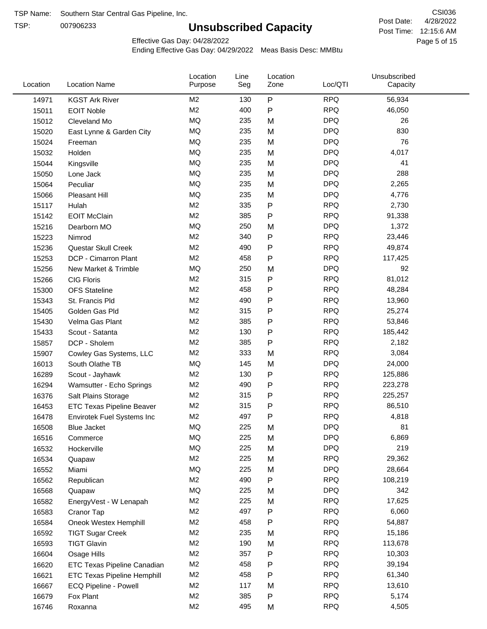TSP:

## **Unsubscribed Capacity**

4/28/2022 Page 5 of 15 Post Time: 12:15:6 AM CSI036 Post Date:

Effective Gas Day: 04/28/2022

| Location | <b>Location Name</b>               | Location<br>Purpose | Line<br>Seg | Location<br>Zone | Loc/QTI    | Unsubscribed<br>Capacity |  |
|----------|------------------------------------|---------------------|-------------|------------------|------------|--------------------------|--|
| 14971    | <b>KGST Ark River</b>              | M2                  | 130         | P                | <b>RPQ</b> | 56,934                   |  |
| 15011    | <b>EOIT Noble</b>                  | M <sub>2</sub>      | 400         | P                | <b>RPQ</b> | 46,050                   |  |
| 15012    | Cleveland Mo                       | <b>MQ</b>           | 235         | M                | <b>DPQ</b> | 26                       |  |
| 15020    | East Lynne & Garden City           | <b>MQ</b>           | 235         | M                | <b>DPQ</b> | 830                      |  |
| 15024    | Freeman                            | <b>MQ</b>           | 235         | M                | <b>DPQ</b> | 76                       |  |
| 15032    | Holden                             | <b>MQ</b>           | 235         | M                | <b>DPQ</b> | 4,017                    |  |
| 15044    | Kingsville                         | MQ                  | 235         | M                | <b>DPQ</b> | 41                       |  |
| 15050    | Lone Jack                          | <b>MQ</b>           | 235         | M                | <b>DPQ</b> | 288                      |  |
| 15064    | Peculiar                           | <b>MQ</b>           | 235         | M                | <b>DPQ</b> | 2,265                    |  |
| 15066    | Pleasant Hill                      | <b>MQ</b>           | 235         | M                | <b>DPQ</b> | 4,776                    |  |
| 15117    | Hulah                              | M <sub>2</sub>      | 335         | P                | <b>RPQ</b> | 2,730                    |  |
| 15142    | <b>EOIT McClain</b>                | M <sub>2</sub>      | 385         | P                | <b>RPQ</b> | 91,338                   |  |
| 15216    | Dearborn MO                        | MQ                  | 250         | M                | <b>DPQ</b> | 1,372                    |  |
| 15223    | Nimrod                             | M <sub>2</sub>      | 340         | P                | <b>RPQ</b> | 23,446                   |  |
| 15236    | Questar Skull Creek                | M <sub>2</sub>      | 490         | P                | <b>RPQ</b> | 49,874                   |  |
| 15253    | DCP - Cimarron Plant               | M <sub>2</sub>      | 458         | Ρ                | <b>RPQ</b> | 117,425                  |  |
| 15256    | New Market & Trimble               | <b>MQ</b>           | 250         | M                | <b>DPQ</b> | 92                       |  |
| 15266    | <b>CIG Floris</b>                  | M <sub>2</sub>      | 315         | Ρ                | <b>RPQ</b> | 81,012                   |  |
| 15300    | <b>OFS Stateline</b>               | M <sub>2</sub>      | 458         | Ρ                | <b>RPQ</b> | 48,284                   |  |
| 15343    | St. Francis Pld                    | M <sub>2</sub>      | 490         | Ρ                | <b>RPQ</b> | 13,960                   |  |
| 15405    | Golden Gas Pld                     | M <sub>2</sub>      | 315         | P                | <b>RPQ</b> | 25,274                   |  |
| 15430    | Velma Gas Plant                    | M <sub>2</sub>      | 385         | Ρ                | <b>RPQ</b> | 53,846                   |  |
| 15433    | Scout - Satanta                    | M <sub>2</sub>      | 130         | Ρ                | <b>RPQ</b> | 185,442                  |  |
| 15857    | DCP - Sholem                       | M <sub>2</sub>      | 385         | P                | <b>RPQ</b> | 2,182                    |  |
| 15907    | Cowley Gas Systems, LLC            | M <sub>2</sub>      | 333         | M                | <b>RPQ</b> | 3,084                    |  |
| 16013    | South Olathe TB                    | MQ                  | 145         | M                | <b>DPQ</b> | 24,000                   |  |
| 16289    | Scout - Jayhawk                    | M2                  | 130         | P                | <b>RPQ</b> | 125,886                  |  |
| 16294    | Wamsutter - Echo Springs           | M <sub>2</sub>      | 490         | P                | <b>RPQ</b> | 223,278                  |  |
| 16376    | Salt Plains Storage                | M <sub>2</sub>      | 315         | Ρ                | <b>RPQ</b> | 225,257                  |  |
| 16453    | <b>ETC Texas Pipeline Beaver</b>   | M <sub>2</sub>      | 315         | P                | <b>RPQ</b> | 86,510                   |  |
| 16478    | Envirotek Fuel Systems Inc         | M <sub>2</sub>      | 497         | Ρ                | <b>RPQ</b> | 4,818                    |  |
| 16508    | Blue Jacket                        | <b>MQ</b>           | 225         | M                | <b>DPQ</b> | 81                       |  |
| 16516    | Commerce                           | MQ                  | 225         | M                | <b>DPQ</b> | 6,869                    |  |
| 16532    | Hockerville                        | $\sf{MQ}$           | 225         | M                | <b>DPQ</b> | 219                      |  |
| 16534    | Quapaw                             | M <sub>2</sub>      | 225         | M                | <b>RPQ</b> | 29,362                   |  |
| 16552    | Miami                              | MQ                  | 225         | M                | <b>DPQ</b> | 28,664                   |  |
| 16562    | Republican                         | M2                  | 490         | P                | <b>RPQ</b> | 108,219                  |  |
| 16568    | Quapaw                             | <b>MQ</b>           | 225         | M                | <b>DPQ</b> | 342                      |  |
| 16582    | EnergyVest - W Lenapah             | M2                  | 225         | M                | <b>RPQ</b> | 17,625                   |  |
| 16583    | Cranor Tap                         | M <sub>2</sub>      | 497         | Ρ                | <b>RPQ</b> | 6,060                    |  |
| 16584    | Oneok Westex Hemphill              | M <sub>2</sub>      | 458         | Ρ                | <b>RPQ</b> | 54,887                   |  |
| 16592    | <b>TIGT Sugar Creek</b>            | M2                  | 235         | M                | <b>RPQ</b> | 15,186                   |  |
| 16593    | <b>TIGT Glavin</b>                 | M <sub>2</sub>      | 190         | M                | <b>RPQ</b> | 113,678                  |  |
| 16604    | Osage Hills                        | M <sub>2</sub>      | 357         | Ρ                | <b>RPQ</b> | 10,303                   |  |
| 16620    | ETC Texas Pipeline Canadian        | M <sub>2</sub>      | 458         | Ρ                | <b>RPQ</b> | 39,194                   |  |
| 16621    | <b>ETC Texas Pipeline Hemphill</b> | M <sub>2</sub>      | 458         | Ρ                | <b>RPQ</b> | 61,340                   |  |
| 16667    | ECQ Pipeline - Powell              | M <sub>2</sub>      | 117         | M                | <b>RPQ</b> | 13,610                   |  |
| 16679    | Fox Plant                          | M2                  | 385         | P                | <b>RPQ</b> | 5,174                    |  |
| 16746    | Roxanna                            | M2                  | 495         | M                | <b>RPQ</b> | 4,505                    |  |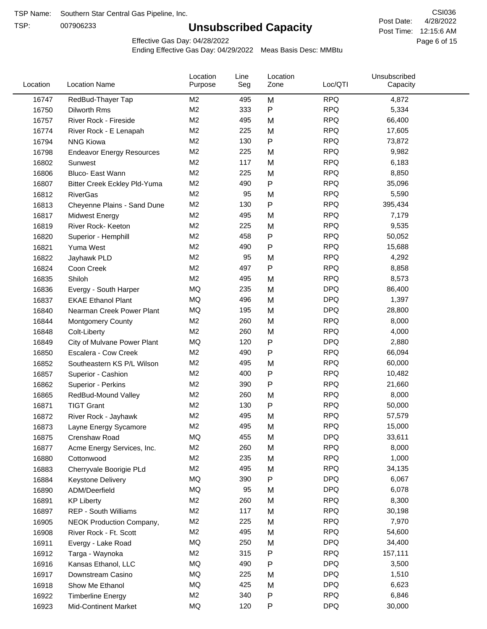TSP:

## **Unsubscribed Capacity**

4/28/2022 Page 6 of 15 Post Time: 12:15:6 AM CSI036 Post Date:

Unsubscribed

Effective Gas Day: 04/28/2022

Location

Ending Effective Gas Day: 04/29/2022 Meas Basis Desc: MMBtu

Line

| Location | <b>Location Name</b>             | Purpose        | Seg | Zone | Loc/QTI    | Capacity |  |
|----------|----------------------------------|----------------|-----|------|------------|----------|--|
| 16747    | RedBud-Thayer Tap                | M <sub>2</sub> | 495 | M    | <b>RPQ</b> | 4,872    |  |
| 16750    | Dilworth Rms                     | M <sub>2</sub> | 333 | P    | <b>RPQ</b> | 5,334    |  |
| 16757    | River Rock - Fireside            | M <sub>2</sub> | 495 | M    | <b>RPQ</b> | 66,400   |  |
| 16774    | River Rock - E Lenapah           | M <sub>2</sub> | 225 | M    | <b>RPQ</b> | 17,605   |  |
| 16794    | <b>NNG Kiowa</b>                 | M <sub>2</sub> | 130 | P    | <b>RPQ</b> | 73,872   |  |
| 16798    | <b>Endeavor Energy Resources</b> | M <sub>2</sub> | 225 | M    | <b>RPQ</b> | 9,982    |  |
| 16802    | Sunwest                          | M <sub>2</sub> | 117 | M    | <b>RPQ</b> | 6,183    |  |
| 16806    | Bluco- East Wann                 | M <sub>2</sub> | 225 | M    | <b>RPQ</b> | 8,850    |  |
| 16807    | Bitter Creek Eckley Pld-Yuma     | M <sub>2</sub> | 490 | P    | <b>RPQ</b> | 35,096   |  |
| 16812    | <b>RiverGas</b>                  | M <sub>2</sub> | 95  | M    | <b>RPQ</b> | 5,590    |  |
| 16813    | Cheyenne Plains - Sand Dune      | M <sub>2</sub> | 130 | P    | <b>RPQ</b> | 395,434  |  |
| 16817    | <b>Midwest Energy</b>            | M <sub>2</sub> | 495 | M    | <b>RPQ</b> | 7,179    |  |
| 16819    | River Rock- Keeton               | M <sub>2</sub> | 225 | M    | <b>RPQ</b> | 9,535    |  |
| 16820    | Superior - Hemphill              | M <sub>2</sub> | 458 | P    | <b>RPQ</b> | 50,052   |  |
| 16821    | Yuma West                        | M <sub>2</sub> | 490 | Ρ    | <b>RPQ</b> | 15,688   |  |
| 16822    | Jayhawk PLD                      | M <sub>2</sub> | 95  | M    | <b>RPQ</b> | 4,292    |  |
| 16824    | Coon Creek                       | M <sub>2</sub> | 497 | Ρ    | <b>RPQ</b> | 8,858    |  |
| 16835    | Shiloh                           | M <sub>2</sub> | 495 | M    | <b>RPQ</b> | 8,573    |  |
| 16836    | Evergy - South Harper            | <b>MQ</b>      | 235 | M    | <b>DPQ</b> | 86,400   |  |
| 16837    | <b>EKAE Ethanol Plant</b>        | MQ             | 496 | M    | <b>DPQ</b> | 1,397    |  |
| 16840    | Nearman Creek Power Plant        | MQ             | 195 | M    | <b>DPQ</b> | 28,800   |  |
| 16844    | <b>Montgomery County</b>         | M <sub>2</sub> | 260 | M    | <b>RPQ</b> | 8,000    |  |
| 16848    | Colt-Liberty                     | M <sub>2</sub> | 260 | M    | <b>RPQ</b> | 4,000    |  |
| 16849    | City of Mulvane Power Plant      | <b>MQ</b>      | 120 | P    | <b>DPQ</b> | 2,880    |  |
| 16850    | Escalera - Cow Creek             | M <sub>2</sub> | 490 | Ρ    | <b>RPQ</b> | 66,094   |  |
| 16852    | Southeastern KS P/L Wilson       | M <sub>2</sub> | 495 | M    | <b>RPQ</b> | 60,000   |  |
| 16857    | Superior - Cashion               | M <sub>2</sub> | 400 | Ρ    | <b>RPQ</b> | 10,482   |  |
| 16862    | Superior - Perkins               | M <sub>2</sub> | 390 | P    | <b>RPQ</b> | 21,660   |  |
| 16865    | RedBud-Mound Valley              | M <sub>2</sub> | 260 | M    | <b>RPQ</b> | 8,000    |  |
| 16871    | <b>TIGT Grant</b>                | M <sub>2</sub> | 130 | P    | <b>RPQ</b> | 50,000   |  |
| 16872    | River Rock - Jayhawk             | M <sub>2</sub> | 495 | M    | <b>RPQ</b> | 57,579   |  |
| 16873    | Layne Energy Sycamore            | M <sub>2</sub> | 495 | M    | <b>RPQ</b> | 15,000   |  |
| 16875    | Crenshaw Road                    | MQ             | 455 | М    | <b>DPQ</b> | 33,611   |  |
| 16877    | Acme Energy Services, Inc.       | M2             | 260 | M    | <b>RPQ</b> | 8,000    |  |
| 16880    | Cottonwood                       | M <sub>2</sub> | 235 | M    | <b>RPQ</b> | 1,000    |  |
| 16883    | Cherryvale Boorigie PLd          | M2             | 495 | M    | <b>RPQ</b> | 34,135   |  |
| 16884    | <b>Keystone Delivery</b>         | MQ             | 390 | P    | <b>DPQ</b> | 6,067    |  |
| 16890    | ADM/Deerfield                    | MQ             | 95  | M    | <b>DPQ</b> | 6,078    |  |
| 16891    | <b>KP Liberty</b>                | M <sub>2</sub> | 260 | M    | <b>RPQ</b> | 8,300    |  |
| 16897    | REP - South Williams             | M2             | 117 | M    | <b>RPQ</b> | 30,198   |  |
| 16905    | NEOK Production Company,         | M2             | 225 | M    | <b>RPQ</b> | 7,970    |  |
| 16908    | River Rock - Ft. Scott           | M2             | 495 | M    | <b>RPQ</b> | 54,600   |  |
| 16911    | Evergy - Lake Road               | MQ             | 250 | M    | <b>DPQ</b> | 34,400   |  |
| 16912    | Targa - Waynoka                  | M <sub>2</sub> | 315 | P    | <b>RPQ</b> | 157,111  |  |
| 16916    | Kansas Ethanol, LLC              | MQ             | 490 | Ρ    | <b>DPQ</b> | 3,500    |  |
| 16917    | Downstream Casino                | MQ             | 225 | M    | <b>DPQ</b> | 1,510    |  |
| 16918    | Show Me Ethanol                  | MQ             | 425 | M    | <b>DPQ</b> | 6,623    |  |
| 16922    | <b>Timberline Energy</b>         | M <sub>2</sub> | 340 | P    | <b>RPQ</b> | 6,846    |  |
| 16923    | <b>Mid-Continent Market</b>      | MQ             | 120 | P    | <b>DPQ</b> | 30,000   |  |
|          |                                  |                |     |      |            |          |  |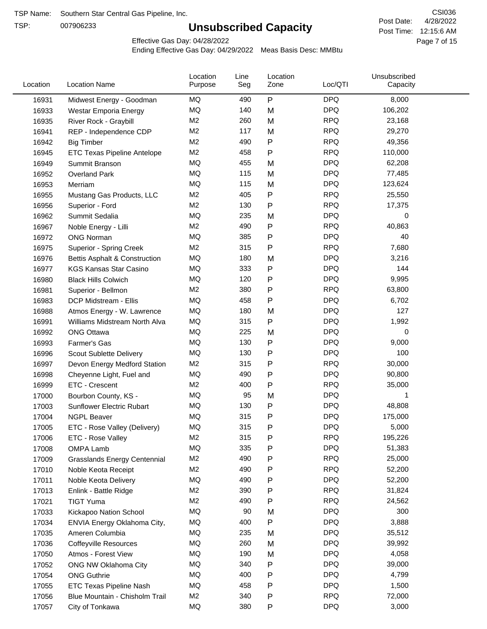TSP:

## **Unsubscribed Capacity**

4/28/2022 Page 7 of 15 Post Time: 12:15:6 AM CSI036 Post Date:

Effective Gas Day: 04/28/2022

| Location | <b>Location Name</b>                | Location<br>Purpose | Line<br>Seg | Location<br>Zone | Loc/QTI    | Unsubscribed<br>Capacity |  |
|----------|-------------------------------------|---------------------|-------------|------------------|------------|--------------------------|--|
| 16931    | Midwest Energy - Goodman            | MQ                  | 490         | P                | <b>DPQ</b> | 8,000                    |  |
| 16933    | Westar Emporia Energy               | MQ                  | 140         | M                | <b>DPQ</b> | 106,202                  |  |
| 16935    | River Rock - Graybill               | M <sub>2</sub>      | 260         | M                | <b>RPQ</b> | 23,168                   |  |
| 16941    | REP - Independence CDP              | M <sub>2</sub>      | 117         | M                | <b>RPQ</b> | 29,270                   |  |
| 16942    | <b>Big Timber</b>                   | M <sub>2</sub>      | 490         | $\mathsf{P}$     | <b>RPQ</b> | 49,356                   |  |
| 16945    | <b>ETC Texas Pipeline Antelope</b>  | M <sub>2</sub>      | 458         | $\mathsf{P}$     | <b>RPQ</b> | 110,000                  |  |
| 16949    | Summit Branson                      | MQ                  | 455         | M                | <b>DPQ</b> | 62,208                   |  |
| 16952    | <b>Overland Park</b>                | MQ                  | 115         | M                | <b>DPQ</b> | 77,485                   |  |
| 16953    | Merriam                             | MQ                  | 115         | M                | <b>DPQ</b> | 123,624                  |  |
| 16955    | Mustang Gas Products, LLC           | M <sub>2</sub>      | 405         | P                | <b>RPQ</b> | 25,550                   |  |
| 16956    | Superior - Ford                     | M <sub>2</sub>      | 130         | $\mathsf{P}$     | <b>RPQ</b> | 17,375                   |  |
| 16962    | Summit Sedalia                      | MQ                  | 235         | M                | <b>DPQ</b> | 0                        |  |
| 16967    | Noble Energy - Lilli                | M <sub>2</sub>      | 490         | P                | <b>RPQ</b> | 40,863                   |  |
| 16972    | <b>ONG Norman</b>                   | MQ                  | 385         | P                | <b>DPQ</b> | 40                       |  |
| 16975    | Superior - Spring Creek             | M <sub>2</sub>      | 315         | P                | <b>RPQ</b> | 7,680                    |  |
| 16976    | Bettis Asphalt & Construction       | MQ                  | 180         | M                | <b>DPQ</b> | 3,216                    |  |
| 16977    | <b>KGS Kansas Star Casino</b>       | MQ                  | 333         | ${\sf P}$        | <b>DPQ</b> | 144                      |  |
| 16980    | <b>Black Hills Colwich</b>          | MQ                  | 120         | P                | <b>DPQ</b> | 9,995                    |  |
| 16981    | Superior - Bellmon                  | M <sub>2</sub>      | 380         | P                | <b>RPQ</b> | 63,800                   |  |
| 16983    | DCP Midstream - Ellis               | MQ                  | 458         | $\mathsf{P}$     | <b>DPQ</b> | 6,702                    |  |
| 16988    | Atmos Energy - W. Lawrence          | MQ                  | 180         | M                | <b>DPQ</b> | 127                      |  |
| 16991    | Williams Midstream North Alva       | <b>MQ</b>           | 315         | $\mathsf{P}$     | <b>DPQ</b> | 1,992                    |  |
| 16992    | <b>ONG Ottawa</b>                   | MQ                  | 225         | M                | <b>DPQ</b> | 0                        |  |
| 16993    | Farmer's Gas                        | MQ                  | 130         | $\mathsf{P}$     | <b>DPQ</b> | 9,000                    |  |
| 16996    | Scout Sublette Delivery             | MQ                  | 130         | $\mathsf{P}$     | <b>DPQ</b> | 100                      |  |
| 16997    | Devon Energy Medford Station        | M <sub>2</sub>      | 315         | P                | <b>RPQ</b> | 30,000                   |  |
| 16998    | Cheyenne Light, Fuel and            | MQ                  | 490         | P                | <b>DPQ</b> | 90,800                   |  |
| 16999    | ETC - Crescent                      | M <sub>2</sub>      | 400         | P                | <b>RPQ</b> | 35,000                   |  |
| 17000    | Bourbon County, KS -                | MQ                  | 95          | M                | <b>DPQ</b> | 1                        |  |
| 17003    | Sunflower Electric Rubart           | MQ                  | 130         | P                | <b>DPQ</b> | 48,808                   |  |
| 17004    | <b>NGPL Beaver</b>                  | MQ                  | 315         | P                | <b>DPQ</b> | 175,000                  |  |
| 17005    | ETC - Rose Valley (Delivery)        | MQ                  | 315         | P                | <b>DPQ</b> | 5,000                    |  |
| 17006    | ETC - Rose Valley                   | M <sub>2</sub>      | 315         | P                | <b>RPQ</b> | 195,226                  |  |
| 17008    | OMPA Lamb                           | MQ                  | 335         | P                | <b>DPQ</b> | 51,383                   |  |
| 17009    | <b>Grasslands Energy Centennial</b> | M <sub>2</sub>      | 490         | P                | <b>RPQ</b> | 25,000                   |  |
| 17010    | Noble Keota Receipt                 | M <sub>2</sub>      | 490         | P                | <b>RPQ</b> | 52,200                   |  |
| 17011    | Noble Keota Delivery                | MQ                  | 490         | P                | <b>DPQ</b> | 52,200                   |  |
| 17013    | Enlink - Battle Ridge               | M <sub>2</sub>      | 390         | $\mathsf{P}$     | <b>RPQ</b> | 31,824                   |  |
| 17021    | <b>TIGT Yuma</b>                    | M <sub>2</sub>      | 490         | P                | <b>RPQ</b> | 24,562                   |  |
| 17033    | Kickapoo Nation School              | MQ                  | 90          | M                | <b>DPQ</b> | 300                      |  |
| 17034    | ENVIA Energy Oklahoma City,         | MQ                  | 400         | P                | <b>DPQ</b> | 3,888                    |  |
| 17035    | Ameren Columbia                     | MQ                  | 235         | M                | <b>DPQ</b> | 35,512                   |  |
| 17036    | <b>Coffeyville Resources</b>        | MQ                  | 260         | M                | <b>DPQ</b> | 39,992                   |  |
| 17050    | Atmos - Forest View                 | MQ                  | 190         | M                | <b>DPQ</b> | 4,058                    |  |
| 17052    | ONG NW Oklahoma City                | MQ                  | 340         | ${\sf P}$        | <b>DPQ</b> | 39,000                   |  |
| 17054    | <b>ONG Guthrie</b>                  | MQ                  | 400         | P                | <b>DPQ</b> | 4,799                    |  |
| 17055    | ETC Texas Pipeline Nash             | MQ                  | 458         | $\mathsf{P}$     | <b>DPQ</b> | 1,500                    |  |
| 17056    | Blue Mountain - Chisholm Trail      | M <sub>2</sub>      | 340         | P                | <b>RPQ</b> | 72,000                   |  |
| 17057    | City of Tonkawa                     | MQ                  | 380         | ${\sf P}$        | <b>DPQ</b> | 3,000                    |  |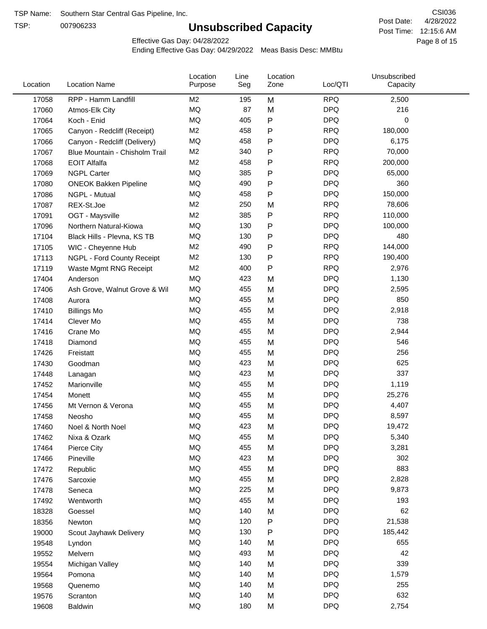TSP:

## **Unsubscribed Capacity**

4/28/2022 Page 8 of 15 Post Time: 12:15:6 AM CSI036 Post Date:

Unsubscribed

Effective Gas Day: 04/28/2022

Location

Ending Effective Gas Day: 04/29/2022 Meas Basis Desc: MMBtu

Line

| M <sub>2</sub><br>M<br><b>RPQ</b><br>2,500<br>17058<br>RPP - Hamm Landfill<br>195<br>MQ<br>87<br><b>DPQ</b><br>216<br>M<br>17060<br>Atmos-Elk City<br>MQ<br>P<br><b>DPQ</b><br>405<br>0<br>17064<br>Koch - Enid<br><b>RPQ</b><br>M <sub>2</sub><br>458<br>P<br>180,000<br>17065<br>Canyon - Redcliff (Receipt)<br>MQ<br>P<br><b>DPQ</b><br>458<br>6,175<br>17066<br>Canyon - Redcliff (Delivery)<br><b>RPQ</b><br>M <sub>2</sub><br>340<br>70,000<br>Ρ<br>17067<br>Blue Mountain - Chisholm Trail<br>P<br><b>RPQ</b><br><b>EOIT Alfalfa</b><br>M <sub>2</sub><br>458<br>200,000<br>17068<br>MQ<br><b>DPQ</b><br>385<br>65,000<br>17069<br>Ρ<br><b>NGPL Carter</b><br><b>DPQ</b><br>MQ<br>490<br>P<br>360<br>17080<br><b>ONEOK Bakken Pipeline</b><br>MQ<br>P<br><b>DPQ</b><br>458<br>150,000<br>17086<br>NGPL - Mutual<br><b>RPQ</b><br>M <sub>2</sub><br>250<br>78,606<br>17087<br>M<br>REX-St.Joe<br>P<br><b>RPQ</b><br>M <sub>2</sub><br>385<br>110,000<br>17091<br>OGT - Maysville<br>MQ<br>130<br>P<br><b>DPQ</b><br>100,000<br>17096<br>Northern Natural-Kiowa<br>P<br><b>DPQ</b><br>MQ<br>130<br>480<br>17104<br>Black Hills - Plevna, KS TB<br><b>RPQ</b><br>M <sub>2</sub><br>144,000<br>490<br>Ρ<br>17105<br>WIC - Cheyenne Hub<br><b>RPQ</b><br>M <sub>2</sub><br>Ρ<br>190,400<br>130<br>17113<br>NGPL - Ford County Receipt<br><b>RPQ</b><br>M <sub>2</sub><br>400<br>2,976<br>Ρ<br>17119<br>Waste Mgmt RNG Receipt<br><b>DPQ</b><br>MQ<br>M<br>1,130<br>17404<br>423<br>Anderson<br>MQ<br><b>DPQ</b><br>455<br>M<br>2,595<br>17406<br>Ash Grove, Walnut Grove & Wil<br><b>DPQ</b><br>MQ<br>455<br>M<br>850<br>17408<br>Aurora<br><b>DPQ</b><br>MQ<br>455<br>2,918<br>M<br>17410<br><b>Billings Mo</b><br><b>DPQ</b><br>738<br>MQ<br>455<br>M<br>17414<br>Clever Mo<br>MQ<br><b>DPQ</b><br>455<br>M<br>2,944<br>17416<br>Crane Mo<br>MQ<br><b>DPQ</b><br>455<br>546<br>M<br>17418<br>Diamond<br>MQ<br><b>DPQ</b><br>455<br>M<br>256<br>17426<br>Freistatt<br>MQ<br><b>DPQ</b><br>625<br>423<br>M<br>17430<br>Goodman<br><b>DPQ</b><br>337<br>MQ<br>423<br>M<br>17448<br>Lanagan<br><b>DPQ</b><br>MQ<br>455<br>1,119<br>17452<br>M<br>Marionville<br>MQ<br>455<br>M<br><b>DPQ</b><br>25,276<br>17454<br>Monett<br>MQ<br>455<br><b>DPQ</b><br>M<br>4,407<br>17456<br>Mt Vernon & Verona<br>MQ<br>455<br><b>DPQ</b><br>8,597<br>Neosho<br>M<br>17458<br>MQ<br><b>DPQ</b><br>423<br>19,472<br>Noel & North Noel<br>M<br>17460<br>MQ<br>455<br>M<br><b>DPQ</b><br>5,340<br>17462<br>Nixa & Ozark<br>MQ<br><b>DPQ</b><br>455<br>3,281<br>17464<br>M<br>Pierce City<br>MQ<br><b>DPQ</b><br>423<br>M<br>302<br>17466<br>Pineville<br>883<br>MQ<br>455<br><b>DPQ</b><br>17472<br>M<br>Republic<br>MQ<br><b>DPQ</b><br>455<br>M<br>2,828<br>17476<br>Sarcoxie<br>MQ<br><b>DPQ</b><br>225<br>M<br>9,873<br>17478<br>Seneca<br>MQ<br><b>DPQ</b><br>455<br>193<br>M<br>17492<br>Wentworth<br>MQ<br><b>DPQ</b><br>62<br>140<br>M<br>18328<br>Goessel<br><b>DPQ</b><br>MQ<br>120<br>P<br>21,538<br>18356<br>Newton<br>MQ<br>P<br><b>DPQ</b><br>130<br>185,442<br>19000<br>Scout Jayhawk Delivery<br>MQ<br>140<br><b>DPQ</b><br>655<br>M<br>19548<br>Lyndon<br><b>DPQ</b><br>42<br>MQ<br>493<br>M<br>19552<br>Melvern<br>MQ<br>140<br><b>DPQ</b><br>339<br>19554<br>M<br>Michigan Valley<br>MQ<br><b>DPQ</b><br>140<br>M<br>1,579<br>19564<br>Pomona<br>MQ<br><b>DPQ</b><br>140<br>255<br>M<br>19568<br>Quenemo<br>MQ<br><b>DPQ</b><br>632<br>140<br>M<br>19576<br>Scranton | Location | <b>Location Name</b> | Purpose | Seg | Zone | Loc/QTI | Capacity |  |
|-------------------------------------------------------------------------------------------------------------------------------------------------------------------------------------------------------------------------------------------------------------------------------------------------------------------------------------------------------------------------------------------------------------------------------------------------------------------------------------------------------------------------------------------------------------------------------------------------------------------------------------------------------------------------------------------------------------------------------------------------------------------------------------------------------------------------------------------------------------------------------------------------------------------------------------------------------------------------------------------------------------------------------------------------------------------------------------------------------------------------------------------------------------------------------------------------------------------------------------------------------------------------------------------------------------------------------------------------------------------------------------------------------------------------------------------------------------------------------------------------------------------------------------------------------------------------------------------------------------------------------------------------------------------------------------------------------------------------------------------------------------------------------------------------------------------------------------------------------------------------------------------------------------------------------------------------------------------------------------------------------------------------------------------------------------------------------------------------------------------------------------------------------------------------------------------------------------------------------------------------------------------------------------------------------------------------------------------------------------------------------------------------------------------------------------------------------------------------------------------------------------------------------------------------------------------------------------------------------------------------------------------------------------------------------------------------------------------------------------------------------------------------------------------------------------------------------------------------------------------------------------------------------------------------------------------------------------------------------------------------------------------------------------------------------------------------------------------------------------------------------------------------------------------------------------------------------------------------------------------------------------------------------------------------------------------------------------------------------------------------------------------------------------------------------------------------------------------------|----------|----------------------|---------|-----|------|---------|----------|--|
|                                                                                                                                                                                                                                                                                                                                                                                                                                                                                                                                                                                                                                                                                                                                                                                                                                                                                                                                                                                                                                                                                                                                                                                                                                                                                                                                                                                                                                                                                                                                                                                                                                                                                                                                                                                                                                                                                                                                                                                                                                                                                                                                                                                                                                                                                                                                                                                                                                                                                                                                                                                                                                                                                                                                                                                                                                                                                                                                                                                                                                                                                                                                                                                                                                                                                                                                                                                                                                                                         |          |                      |         |     |      |         |          |  |
|                                                                                                                                                                                                                                                                                                                                                                                                                                                                                                                                                                                                                                                                                                                                                                                                                                                                                                                                                                                                                                                                                                                                                                                                                                                                                                                                                                                                                                                                                                                                                                                                                                                                                                                                                                                                                                                                                                                                                                                                                                                                                                                                                                                                                                                                                                                                                                                                                                                                                                                                                                                                                                                                                                                                                                                                                                                                                                                                                                                                                                                                                                                                                                                                                                                                                                                                                                                                                                                                         |          |                      |         |     |      |         |          |  |
|                                                                                                                                                                                                                                                                                                                                                                                                                                                                                                                                                                                                                                                                                                                                                                                                                                                                                                                                                                                                                                                                                                                                                                                                                                                                                                                                                                                                                                                                                                                                                                                                                                                                                                                                                                                                                                                                                                                                                                                                                                                                                                                                                                                                                                                                                                                                                                                                                                                                                                                                                                                                                                                                                                                                                                                                                                                                                                                                                                                                                                                                                                                                                                                                                                                                                                                                                                                                                                                                         |          |                      |         |     |      |         |          |  |
|                                                                                                                                                                                                                                                                                                                                                                                                                                                                                                                                                                                                                                                                                                                                                                                                                                                                                                                                                                                                                                                                                                                                                                                                                                                                                                                                                                                                                                                                                                                                                                                                                                                                                                                                                                                                                                                                                                                                                                                                                                                                                                                                                                                                                                                                                                                                                                                                                                                                                                                                                                                                                                                                                                                                                                                                                                                                                                                                                                                                                                                                                                                                                                                                                                                                                                                                                                                                                                                                         |          |                      |         |     |      |         |          |  |
|                                                                                                                                                                                                                                                                                                                                                                                                                                                                                                                                                                                                                                                                                                                                                                                                                                                                                                                                                                                                                                                                                                                                                                                                                                                                                                                                                                                                                                                                                                                                                                                                                                                                                                                                                                                                                                                                                                                                                                                                                                                                                                                                                                                                                                                                                                                                                                                                                                                                                                                                                                                                                                                                                                                                                                                                                                                                                                                                                                                                                                                                                                                                                                                                                                                                                                                                                                                                                                                                         |          |                      |         |     |      |         |          |  |
|                                                                                                                                                                                                                                                                                                                                                                                                                                                                                                                                                                                                                                                                                                                                                                                                                                                                                                                                                                                                                                                                                                                                                                                                                                                                                                                                                                                                                                                                                                                                                                                                                                                                                                                                                                                                                                                                                                                                                                                                                                                                                                                                                                                                                                                                                                                                                                                                                                                                                                                                                                                                                                                                                                                                                                                                                                                                                                                                                                                                                                                                                                                                                                                                                                                                                                                                                                                                                                                                         |          |                      |         |     |      |         |          |  |
|                                                                                                                                                                                                                                                                                                                                                                                                                                                                                                                                                                                                                                                                                                                                                                                                                                                                                                                                                                                                                                                                                                                                                                                                                                                                                                                                                                                                                                                                                                                                                                                                                                                                                                                                                                                                                                                                                                                                                                                                                                                                                                                                                                                                                                                                                                                                                                                                                                                                                                                                                                                                                                                                                                                                                                                                                                                                                                                                                                                                                                                                                                                                                                                                                                                                                                                                                                                                                                                                         |          |                      |         |     |      |         |          |  |
|                                                                                                                                                                                                                                                                                                                                                                                                                                                                                                                                                                                                                                                                                                                                                                                                                                                                                                                                                                                                                                                                                                                                                                                                                                                                                                                                                                                                                                                                                                                                                                                                                                                                                                                                                                                                                                                                                                                                                                                                                                                                                                                                                                                                                                                                                                                                                                                                                                                                                                                                                                                                                                                                                                                                                                                                                                                                                                                                                                                                                                                                                                                                                                                                                                                                                                                                                                                                                                                                         |          |                      |         |     |      |         |          |  |
|                                                                                                                                                                                                                                                                                                                                                                                                                                                                                                                                                                                                                                                                                                                                                                                                                                                                                                                                                                                                                                                                                                                                                                                                                                                                                                                                                                                                                                                                                                                                                                                                                                                                                                                                                                                                                                                                                                                                                                                                                                                                                                                                                                                                                                                                                                                                                                                                                                                                                                                                                                                                                                                                                                                                                                                                                                                                                                                                                                                                                                                                                                                                                                                                                                                                                                                                                                                                                                                                         |          |                      |         |     |      |         |          |  |
|                                                                                                                                                                                                                                                                                                                                                                                                                                                                                                                                                                                                                                                                                                                                                                                                                                                                                                                                                                                                                                                                                                                                                                                                                                                                                                                                                                                                                                                                                                                                                                                                                                                                                                                                                                                                                                                                                                                                                                                                                                                                                                                                                                                                                                                                                                                                                                                                                                                                                                                                                                                                                                                                                                                                                                                                                                                                                                                                                                                                                                                                                                                                                                                                                                                                                                                                                                                                                                                                         |          |                      |         |     |      |         |          |  |
|                                                                                                                                                                                                                                                                                                                                                                                                                                                                                                                                                                                                                                                                                                                                                                                                                                                                                                                                                                                                                                                                                                                                                                                                                                                                                                                                                                                                                                                                                                                                                                                                                                                                                                                                                                                                                                                                                                                                                                                                                                                                                                                                                                                                                                                                                                                                                                                                                                                                                                                                                                                                                                                                                                                                                                                                                                                                                                                                                                                                                                                                                                                                                                                                                                                                                                                                                                                                                                                                         |          |                      |         |     |      |         |          |  |
|                                                                                                                                                                                                                                                                                                                                                                                                                                                                                                                                                                                                                                                                                                                                                                                                                                                                                                                                                                                                                                                                                                                                                                                                                                                                                                                                                                                                                                                                                                                                                                                                                                                                                                                                                                                                                                                                                                                                                                                                                                                                                                                                                                                                                                                                                                                                                                                                                                                                                                                                                                                                                                                                                                                                                                                                                                                                                                                                                                                                                                                                                                                                                                                                                                                                                                                                                                                                                                                                         |          |                      |         |     |      |         |          |  |
|                                                                                                                                                                                                                                                                                                                                                                                                                                                                                                                                                                                                                                                                                                                                                                                                                                                                                                                                                                                                                                                                                                                                                                                                                                                                                                                                                                                                                                                                                                                                                                                                                                                                                                                                                                                                                                                                                                                                                                                                                                                                                                                                                                                                                                                                                                                                                                                                                                                                                                                                                                                                                                                                                                                                                                                                                                                                                                                                                                                                                                                                                                                                                                                                                                                                                                                                                                                                                                                                         |          |                      |         |     |      |         |          |  |
|                                                                                                                                                                                                                                                                                                                                                                                                                                                                                                                                                                                                                                                                                                                                                                                                                                                                                                                                                                                                                                                                                                                                                                                                                                                                                                                                                                                                                                                                                                                                                                                                                                                                                                                                                                                                                                                                                                                                                                                                                                                                                                                                                                                                                                                                                                                                                                                                                                                                                                                                                                                                                                                                                                                                                                                                                                                                                                                                                                                                                                                                                                                                                                                                                                                                                                                                                                                                                                                                         |          |                      |         |     |      |         |          |  |
|                                                                                                                                                                                                                                                                                                                                                                                                                                                                                                                                                                                                                                                                                                                                                                                                                                                                                                                                                                                                                                                                                                                                                                                                                                                                                                                                                                                                                                                                                                                                                                                                                                                                                                                                                                                                                                                                                                                                                                                                                                                                                                                                                                                                                                                                                                                                                                                                                                                                                                                                                                                                                                                                                                                                                                                                                                                                                                                                                                                                                                                                                                                                                                                                                                                                                                                                                                                                                                                                         |          |                      |         |     |      |         |          |  |
|                                                                                                                                                                                                                                                                                                                                                                                                                                                                                                                                                                                                                                                                                                                                                                                                                                                                                                                                                                                                                                                                                                                                                                                                                                                                                                                                                                                                                                                                                                                                                                                                                                                                                                                                                                                                                                                                                                                                                                                                                                                                                                                                                                                                                                                                                                                                                                                                                                                                                                                                                                                                                                                                                                                                                                                                                                                                                                                                                                                                                                                                                                                                                                                                                                                                                                                                                                                                                                                                         |          |                      |         |     |      |         |          |  |
|                                                                                                                                                                                                                                                                                                                                                                                                                                                                                                                                                                                                                                                                                                                                                                                                                                                                                                                                                                                                                                                                                                                                                                                                                                                                                                                                                                                                                                                                                                                                                                                                                                                                                                                                                                                                                                                                                                                                                                                                                                                                                                                                                                                                                                                                                                                                                                                                                                                                                                                                                                                                                                                                                                                                                                                                                                                                                                                                                                                                                                                                                                                                                                                                                                                                                                                                                                                                                                                                         |          |                      |         |     |      |         |          |  |
|                                                                                                                                                                                                                                                                                                                                                                                                                                                                                                                                                                                                                                                                                                                                                                                                                                                                                                                                                                                                                                                                                                                                                                                                                                                                                                                                                                                                                                                                                                                                                                                                                                                                                                                                                                                                                                                                                                                                                                                                                                                                                                                                                                                                                                                                                                                                                                                                                                                                                                                                                                                                                                                                                                                                                                                                                                                                                                                                                                                                                                                                                                                                                                                                                                                                                                                                                                                                                                                                         |          |                      |         |     |      |         |          |  |
|                                                                                                                                                                                                                                                                                                                                                                                                                                                                                                                                                                                                                                                                                                                                                                                                                                                                                                                                                                                                                                                                                                                                                                                                                                                                                                                                                                                                                                                                                                                                                                                                                                                                                                                                                                                                                                                                                                                                                                                                                                                                                                                                                                                                                                                                                                                                                                                                                                                                                                                                                                                                                                                                                                                                                                                                                                                                                                                                                                                                                                                                                                                                                                                                                                                                                                                                                                                                                                                                         |          |                      |         |     |      |         |          |  |
|                                                                                                                                                                                                                                                                                                                                                                                                                                                                                                                                                                                                                                                                                                                                                                                                                                                                                                                                                                                                                                                                                                                                                                                                                                                                                                                                                                                                                                                                                                                                                                                                                                                                                                                                                                                                                                                                                                                                                                                                                                                                                                                                                                                                                                                                                                                                                                                                                                                                                                                                                                                                                                                                                                                                                                                                                                                                                                                                                                                                                                                                                                                                                                                                                                                                                                                                                                                                                                                                         |          |                      |         |     |      |         |          |  |
|                                                                                                                                                                                                                                                                                                                                                                                                                                                                                                                                                                                                                                                                                                                                                                                                                                                                                                                                                                                                                                                                                                                                                                                                                                                                                                                                                                                                                                                                                                                                                                                                                                                                                                                                                                                                                                                                                                                                                                                                                                                                                                                                                                                                                                                                                                                                                                                                                                                                                                                                                                                                                                                                                                                                                                                                                                                                                                                                                                                                                                                                                                                                                                                                                                                                                                                                                                                                                                                                         |          |                      |         |     |      |         |          |  |
|                                                                                                                                                                                                                                                                                                                                                                                                                                                                                                                                                                                                                                                                                                                                                                                                                                                                                                                                                                                                                                                                                                                                                                                                                                                                                                                                                                                                                                                                                                                                                                                                                                                                                                                                                                                                                                                                                                                                                                                                                                                                                                                                                                                                                                                                                                                                                                                                                                                                                                                                                                                                                                                                                                                                                                                                                                                                                                                                                                                                                                                                                                                                                                                                                                                                                                                                                                                                                                                                         |          |                      |         |     |      |         |          |  |
|                                                                                                                                                                                                                                                                                                                                                                                                                                                                                                                                                                                                                                                                                                                                                                                                                                                                                                                                                                                                                                                                                                                                                                                                                                                                                                                                                                                                                                                                                                                                                                                                                                                                                                                                                                                                                                                                                                                                                                                                                                                                                                                                                                                                                                                                                                                                                                                                                                                                                                                                                                                                                                                                                                                                                                                                                                                                                                                                                                                                                                                                                                                                                                                                                                                                                                                                                                                                                                                                         |          |                      |         |     |      |         |          |  |
|                                                                                                                                                                                                                                                                                                                                                                                                                                                                                                                                                                                                                                                                                                                                                                                                                                                                                                                                                                                                                                                                                                                                                                                                                                                                                                                                                                                                                                                                                                                                                                                                                                                                                                                                                                                                                                                                                                                                                                                                                                                                                                                                                                                                                                                                                                                                                                                                                                                                                                                                                                                                                                                                                                                                                                                                                                                                                                                                                                                                                                                                                                                                                                                                                                                                                                                                                                                                                                                                         |          |                      |         |     |      |         |          |  |
|                                                                                                                                                                                                                                                                                                                                                                                                                                                                                                                                                                                                                                                                                                                                                                                                                                                                                                                                                                                                                                                                                                                                                                                                                                                                                                                                                                                                                                                                                                                                                                                                                                                                                                                                                                                                                                                                                                                                                                                                                                                                                                                                                                                                                                                                                                                                                                                                                                                                                                                                                                                                                                                                                                                                                                                                                                                                                                                                                                                                                                                                                                                                                                                                                                                                                                                                                                                                                                                                         |          |                      |         |     |      |         |          |  |
|                                                                                                                                                                                                                                                                                                                                                                                                                                                                                                                                                                                                                                                                                                                                                                                                                                                                                                                                                                                                                                                                                                                                                                                                                                                                                                                                                                                                                                                                                                                                                                                                                                                                                                                                                                                                                                                                                                                                                                                                                                                                                                                                                                                                                                                                                                                                                                                                                                                                                                                                                                                                                                                                                                                                                                                                                                                                                                                                                                                                                                                                                                                                                                                                                                                                                                                                                                                                                                                                         |          |                      |         |     |      |         |          |  |
|                                                                                                                                                                                                                                                                                                                                                                                                                                                                                                                                                                                                                                                                                                                                                                                                                                                                                                                                                                                                                                                                                                                                                                                                                                                                                                                                                                                                                                                                                                                                                                                                                                                                                                                                                                                                                                                                                                                                                                                                                                                                                                                                                                                                                                                                                                                                                                                                                                                                                                                                                                                                                                                                                                                                                                                                                                                                                                                                                                                                                                                                                                                                                                                                                                                                                                                                                                                                                                                                         |          |                      |         |     |      |         |          |  |
|                                                                                                                                                                                                                                                                                                                                                                                                                                                                                                                                                                                                                                                                                                                                                                                                                                                                                                                                                                                                                                                                                                                                                                                                                                                                                                                                                                                                                                                                                                                                                                                                                                                                                                                                                                                                                                                                                                                                                                                                                                                                                                                                                                                                                                                                                                                                                                                                                                                                                                                                                                                                                                                                                                                                                                                                                                                                                                                                                                                                                                                                                                                                                                                                                                                                                                                                                                                                                                                                         |          |                      |         |     |      |         |          |  |
|                                                                                                                                                                                                                                                                                                                                                                                                                                                                                                                                                                                                                                                                                                                                                                                                                                                                                                                                                                                                                                                                                                                                                                                                                                                                                                                                                                                                                                                                                                                                                                                                                                                                                                                                                                                                                                                                                                                                                                                                                                                                                                                                                                                                                                                                                                                                                                                                                                                                                                                                                                                                                                                                                                                                                                                                                                                                                                                                                                                                                                                                                                                                                                                                                                                                                                                                                                                                                                                                         |          |                      |         |     |      |         |          |  |
|                                                                                                                                                                                                                                                                                                                                                                                                                                                                                                                                                                                                                                                                                                                                                                                                                                                                                                                                                                                                                                                                                                                                                                                                                                                                                                                                                                                                                                                                                                                                                                                                                                                                                                                                                                                                                                                                                                                                                                                                                                                                                                                                                                                                                                                                                                                                                                                                                                                                                                                                                                                                                                                                                                                                                                                                                                                                                                                                                                                                                                                                                                                                                                                                                                                                                                                                                                                                                                                                         |          |                      |         |     |      |         |          |  |
|                                                                                                                                                                                                                                                                                                                                                                                                                                                                                                                                                                                                                                                                                                                                                                                                                                                                                                                                                                                                                                                                                                                                                                                                                                                                                                                                                                                                                                                                                                                                                                                                                                                                                                                                                                                                                                                                                                                                                                                                                                                                                                                                                                                                                                                                                                                                                                                                                                                                                                                                                                                                                                                                                                                                                                                                                                                                                                                                                                                                                                                                                                                                                                                                                                                                                                                                                                                                                                                                         |          |                      |         |     |      |         |          |  |
|                                                                                                                                                                                                                                                                                                                                                                                                                                                                                                                                                                                                                                                                                                                                                                                                                                                                                                                                                                                                                                                                                                                                                                                                                                                                                                                                                                                                                                                                                                                                                                                                                                                                                                                                                                                                                                                                                                                                                                                                                                                                                                                                                                                                                                                                                                                                                                                                                                                                                                                                                                                                                                                                                                                                                                                                                                                                                                                                                                                                                                                                                                                                                                                                                                                                                                                                                                                                                                                                         |          |                      |         |     |      |         |          |  |
|                                                                                                                                                                                                                                                                                                                                                                                                                                                                                                                                                                                                                                                                                                                                                                                                                                                                                                                                                                                                                                                                                                                                                                                                                                                                                                                                                                                                                                                                                                                                                                                                                                                                                                                                                                                                                                                                                                                                                                                                                                                                                                                                                                                                                                                                                                                                                                                                                                                                                                                                                                                                                                                                                                                                                                                                                                                                                                                                                                                                                                                                                                                                                                                                                                                                                                                                                                                                                                                                         |          |                      |         |     |      |         |          |  |
|                                                                                                                                                                                                                                                                                                                                                                                                                                                                                                                                                                                                                                                                                                                                                                                                                                                                                                                                                                                                                                                                                                                                                                                                                                                                                                                                                                                                                                                                                                                                                                                                                                                                                                                                                                                                                                                                                                                                                                                                                                                                                                                                                                                                                                                                                                                                                                                                                                                                                                                                                                                                                                                                                                                                                                                                                                                                                                                                                                                                                                                                                                                                                                                                                                                                                                                                                                                                                                                                         |          |                      |         |     |      |         |          |  |
|                                                                                                                                                                                                                                                                                                                                                                                                                                                                                                                                                                                                                                                                                                                                                                                                                                                                                                                                                                                                                                                                                                                                                                                                                                                                                                                                                                                                                                                                                                                                                                                                                                                                                                                                                                                                                                                                                                                                                                                                                                                                                                                                                                                                                                                                                                                                                                                                                                                                                                                                                                                                                                                                                                                                                                                                                                                                                                                                                                                                                                                                                                                                                                                                                                                                                                                                                                                                                                                                         |          |                      |         |     |      |         |          |  |
|                                                                                                                                                                                                                                                                                                                                                                                                                                                                                                                                                                                                                                                                                                                                                                                                                                                                                                                                                                                                                                                                                                                                                                                                                                                                                                                                                                                                                                                                                                                                                                                                                                                                                                                                                                                                                                                                                                                                                                                                                                                                                                                                                                                                                                                                                                                                                                                                                                                                                                                                                                                                                                                                                                                                                                                                                                                                                                                                                                                                                                                                                                                                                                                                                                                                                                                                                                                                                                                                         |          |                      |         |     |      |         |          |  |
|                                                                                                                                                                                                                                                                                                                                                                                                                                                                                                                                                                                                                                                                                                                                                                                                                                                                                                                                                                                                                                                                                                                                                                                                                                                                                                                                                                                                                                                                                                                                                                                                                                                                                                                                                                                                                                                                                                                                                                                                                                                                                                                                                                                                                                                                                                                                                                                                                                                                                                                                                                                                                                                                                                                                                                                                                                                                                                                                                                                                                                                                                                                                                                                                                                                                                                                                                                                                                                                                         |          |                      |         |     |      |         |          |  |
|                                                                                                                                                                                                                                                                                                                                                                                                                                                                                                                                                                                                                                                                                                                                                                                                                                                                                                                                                                                                                                                                                                                                                                                                                                                                                                                                                                                                                                                                                                                                                                                                                                                                                                                                                                                                                                                                                                                                                                                                                                                                                                                                                                                                                                                                                                                                                                                                                                                                                                                                                                                                                                                                                                                                                                                                                                                                                                                                                                                                                                                                                                                                                                                                                                                                                                                                                                                                                                                                         |          |                      |         |     |      |         |          |  |
|                                                                                                                                                                                                                                                                                                                                                                                                                                                                                                                                                                                                                                                                                                                                                                                                                                                                                                                                                                                                                                                                                                                                                                                                                                                                                                                                                                                                                                                                                                                                                                                                                                                                                                                                                                                                                                                                                                                                                                                                                                                                                                                                                                                                                                                                                                                                                                                                                                                                                                                                                                                                                                                                                                                                                                                                                                                                                                                                                                                                                                                                                                                                                                                                                                                                                                                                                                                                                                                                         |          |                      |         |     |      |         |          |  |
|                                                                                                                                                                                                                                                                                                                                                                                                                                                                                                                                                                                                                                                                                                                                                                                                                                                                                                                                                                                                                                                                                                                                                                                                                                                                                                                                                                                                                                                                                                                                                                                                                                                                                                                                                                                                                                                                                                                                                                                                                                                                                                                                                                                                                                                                                                                                                                                                                                                                                                                                                                                                                                                                                                                                                                                                                                                                                                                                                                                                                                                                                                                                                                                                                                                                                                                                                                                                                                                                         |          |                      |         |     |      |         |          |  |
|                                                                                                                                                                                                                                                                                                                                                                                                                                                                                                                                                                                                                                                                                                                                                                                                                                                                                                                                                                                                                                                                                                                                                                                                                                                                                                                                                                                                                                                                                                                                                                                                                                                                                                                                                                                                                                                                                                                                                                                                                                                                                                                                                                                                                                                                                                                                                                                                                                                                                                                                                                                                                                                                                                                                                                                                                                                                                                                                                                                                                                                                                                                                                                                                                                                                                                                                                                                                                                                                         |          |                      |         |     |      |         |          |  |
|                                                                                                                                                                                                                                                                                                                                                                                                                                                                                                                                                                                                                                                                                                                                                                                                                                                                                                                                                                                                                                                                                                                                                                                                                                                                                                                                                                                                                                                                                                                                                                                                                                                                                                                                                                                                                                                                                                                                                                                                                                                                                                                                                                                                                                                                                                                                                                                                                                                                                                                                                                                                                                                                                                                                                                                                                                                                                                                                                                                                                                                                                                                                                                                                                                                                                                                                                                                                                                                                         |          |                      |         |     |      |         |          |  |
|                                                                                                                                                                                                                                                                                                                                                                                                                                                                                                                                                                                                                                                                                                                                                                                                                                                                                                                                                                                                                                                                                                                                                                                                                                                                                                                                                                                                                                                                                                                                                                                                                                                                                                                                                                                                                                                                                                                                                                                                                                                                                                                                                                                                                                                                                                                                                                                                                                                                                                                                                                                                                                                                                                                                                                                                                                                                                                                                                                                                                                                                                                                                                                                                                                                                                                                                                                                                                                                                         |          |                      |         |     |      |         |          |  |
|                                                                                                                                                                                                                                                                                                                                                                                                                                                                                                                                                                                                                                                                                                                                                                                                                                                                                                                                                                                                                                                                                                                                                                                                                                                                                                                                                                                                                                                                                                                                                                                                                                                                                                                                                                                                                                                                                                                                                                                                                                                                                                                                                                                                                                                                                                                                                                                                                                                                                                                                                                                                                                                                                                                                                                                                                                                                                                                                                                                                                                                                                                                                                                                                                                                                                                                                                                                                                                                                         |          |                      |         |     |      |         |          |  |
|                                                                                                                                                                                                                                                                                                                                                                                                                                                                                                                                                                                                                                                                                                                                                                                                                                                                                                                                                                                                                                                                                                                                                                                                                                                                                                                                                                                                                                                                                                                                                                                                                                                                                                                                                                                                                                                                                                                                                                                                                                                                                                                                                                                                                                                                                                                                                                                                                                                                                                                                                                                                                                                                                                                                                                                                                                                                                                                                                                                                                                                                                                                                                                                                                                                                                                                                                                                                                                                                         |          |                      |         |     |      |         |          |  |
|                                                                                                                                                                                                                                                                                                                                                                                                                                                                                                                                                                                                                                                                                                                                                                                                                                                                                                                                                                                                                                                                                                                                                                                                                                                                                                                                                                                                                                                                                                                                                                                                                                                                                                                                                                                                                                                                                                                                                                                                                                                                                                                                                                                                                                                                                                                                                                                                                                                                                                                                                                                                                                                                                                                                                                                                                                                                                                                                                                                                                                                                                                                                                                                                                                                                                                                                                                                                                                                                         |          |                      |         |     |      |         |          |  |
|                                                                                                                                                                                                                                                                                                                                                                                                                                                                                                                                                                                                                                                                                                                                                                                                                                                                                                                                                                                                                                                                                                                                                                                                                                                                                                                                                                                                                                                                                                                                                                                                                                                                                                                                                                                                                                                                                                                                                                                                                                                                                                                                                                                                                                                                                                                                                                                                                                                                                                                                                                                                                                                                                                                                                                                                                                                                                                                                                                                                                                                                                                                                                                                                                                                                                                                                                                                                                                                                         |          |                      |         |     |      |         |          |  |
|                                                                                                                                                                                                                                                                                                                                                                                                                                                                                                                                                                                                                                                                                                                                                                                                                                                                                                                                                                                                                                                                                                                                                                                                                                                                                                                                                                                                                                                                                                                                                                                                                                                                                                                                                                                                                                                                                                                                                                                                                                                                                                                                                                                                                                                                                                                                                                                                                                                                                                                                                                                                                                                                                                                                                                                                                                                                                                                                                                                                                                                                                                                                                                                                                                                                                                                                                                                                                                                                         |          |                      |         |     |      |         |          |  |
| MQ<br><b>DPQ</b><br>180<br>2,754<br>M<br>19608<br>Baldwin                                                                                                                                                                                                                                                                                                                                                                                                                                                                                                                                                                                                                                                                                                                                                                                                                                                                                                                                                                                                                                                                                                                                                                                                                                                                                                                                                                                                                                                                                                                                                                                                                                                                                                                                                                                                                                                                                                                                                                                                                                                                                                                                                                                                                                                                                                                                                                                                                                                                                                                                                                                                                                                                                                                                                                                                                                                                                                                                                                                                                                                                                                                                                                                                                                                                                                                                                                                                               |          |                      |         |     |      |         |          |  |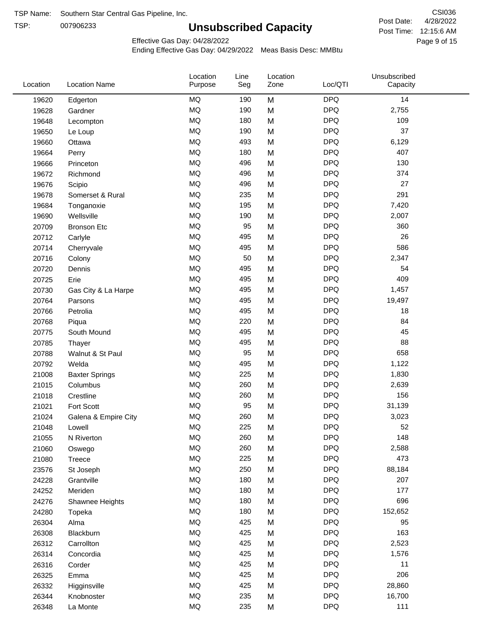TSP:

## **Unsubscribed Capacity**

4/28/2022 Page 9 of 15 Post Time: 12:15:6 AM CSI036 Post Date:

Effective Gas Day: 04/28/2022

| Location | <b>Location Name</b>  | Location<br>Purpose | Line<br>Seg | Location<br>Zone | Loc/QTI    | Unsubscribed<br>Capacity |  |
|----------|-----------------------|---------------------|-------------|------------------|------------|--------------------------|--|
| 19620    | Edgerton              | <b>MQ</b>           | 190         | M                | <b>DPQ</b> | 14                       |  |
| 19628    | Gardner               | MQ                  | 190         | M                | <b>DPQ</b> | 2,755                    |  |
| 19648    | Lecompton             | <b>MQ</b>           | 180         | M                | <b>DPQ</b> | 109                      |  |
| 19650    | Le Loup               | <b>MQ</b>           | 190         | M                | <b>DPQ</b> | 37                       |  |
| 19660    | Ottawa                | MQ                  | 493         | M                | <b>DPQ</b> | 6,129                    |  |
| 19664    | Perry                 | <b>MQ</b>           | 180         | M                | <b>DPQ</b> | 407                      |  |
| 19666    | Princeton             | <b>MQ</b>           | 496         | M                | <b>DPQ</b> | 130                      |  |
| 19672    | Richmond              | <b>MQ</b>           | 496         | M                | <b>DPQ</b> | 374                      |  |
| 19676    | Scipio                | MQ                  | 496         | M                | <b>DPQ</b> | 27                       |  |
| 19678    | Somerset & Rural      | MQ                  | 235         | M                | <b>DPQ</b> | 291                      |  |
| 19684    | Tonganoxie            | MQ                  | 195         | M                | <b>DPQ</b> | 7,420                    |  |
| 19690    | Wellsville            | <b>MQ</b>           | 190         | M                | <b>DPQ</b> | 2,007                    |  |
| 20709    | <b>Bronson Etc</b>    | <b>MQ</b>           | 95          | M                | <b>DPQ</b> | 360                      |  |
| 20712    | Carlyle               | <b>MQ</b>           | 495         | M                | <b>DPQ</b> | 26                       |  |
| 20714    | Cherryvale            | <b>MQ</b>           | 495         | M                | <b>DPQ</b> | 586                      |  |
| 20716    | Colony                | <b>MQ</b>           | 50          | M                | <b>DPQ</b> | 2,347                    |  |
| 20720    | Dennis                | MQ                  | 495         | M                | <b>DPQ</b> | 54                       |  |
| 20725    | Erie                  | MQ                  | 495         | M                | <b>DPQ</b> | 409                      |  |
| 20730    | Gas City & La Harpe   | MQ                  | 495         | M                | <b>DPQ</b> | 1,457                    |  |
| 20764    | Parsons               | MQ                  | 495         | M                | <b>DPQ</b> | 19,497                   |  |
| 20766    | Petrolia              | <b>MQ</b>           | 495         | M                | <b>DPQ</b> | 18                       |  |
| 20768    | Piqua                 | <b>MQ</b>           | 220         | M                | <b>DPQ</b> | 84                       |  |
| 20775    | South Mound           | <b>MQ</b>           | 495         | M                | <b>DPQ</b> | 45                       |  |
| 20785    | Thayer                | <b>MQ</b>           | 495         | M                | <b>DPQ</b> | 88                       |  |
| 20788    | Walnut & St Paul      | MQ                  | 95          | M                | <b>DPQ</b> | 658                      |  |
| 20792    | Welda                 | <b>MQ</b>           | 495         | M                | <b>DPQ</b> | 1,122                    |  |
| 21008    | <b>Baxter Springs</b> | <b>MQ</b>           | 225         | M                | <b>DPQ</b> | 1,830                    |  |
| 21015    | Columbus              | MQ                  | 260         | M                | <b>DPQ</b> | 2,639                    |  |
| 21018    | Crestline             | MQ                  | 260         | M                | <b>DPQ</b> | 156                      |  |
| 21021    | Fort Scott            | <b>MQ</b>           | 95          | M                | <b>DPQ</b> | 31,139                   |  |
| 21024    | Galena & Empire City  | <b>MQ</b>           | 260         | M                | <b>DPQ</b> | 3,023                    |  |
| 21048    | Lowell                | <b>MQ</b>           | 225         | M                | <b>DPQ</b> | 52                       |  |
| 21055    | N Riverton            | MQ                  | 260         | M                | <b>DPQ</b> | 148                      |  |
| 21060    | Oswego                | $\sf{MQ}$           | 260         | M                | <b>DPQ</b> | 2,588                    |  |
| 21080    | Treece                | MQ                  | 225         | M                | <b>DPQ</b> | 473                      |  |
| 23576    | St Joseph             | MQ                  | 250         | M                | <b>DPQ</b> | 88,184                   |  |
| 24228    | Grantville            | MQ                  | 180         | M                | <b>DPQ</b> | 207                      |  |
| 24252    | Meriden               | MQ                  | 180         | M                | <b>DPQ</b> | 177                      |  |
| 24276    | Shawnee Heights       | $\sf{MQ}$           | 180         | M                | <b>DPQ</b> | 696                      |  |
| 24280    | Topeka                | $\sf{MQ}$           | 180         | M                | <b>DPQ</b> | 152,652                  |  |
| 26304    | Alma                  | MQ                  | 425         | M                | <b>DPQ</b> | 95                       |  |
| 26308    | Blackburn             | MQ                  | 425         | M                | <b>DPQ</b> | 163                      |  |
| 26312    | Carrollton            | MQ                  | 425         | M                | <b>DPQ</b> | 2,523                    |  |
| 26314    | Concordia             | $\sf{MQ}$           | 425         | M                | <b>DPQ</b> | 1,576                    |  |
| 26316    | Corder                | $\sf{MQ}$           | 425         | M                | <b>DPQ</b> | 11                       |  |
| 26325    | Emma                  | MQ                  | 425         | M                | <b>DPQ</b> | 206                      |  |
| 26332    | Higginsville          | MQ                  | 425         | M                | <b>DPQ</b> | 28,860                   |  |
| 26344    | Knobnoster            | $\sf{MQ}$           | 235         | M                | <b>DPQ</b> | 16,700                   |  |
| 26348    | La Monte              | $\sf{MQ}$           | 235         | M                | <b>DPQ</b> | 111                      |  |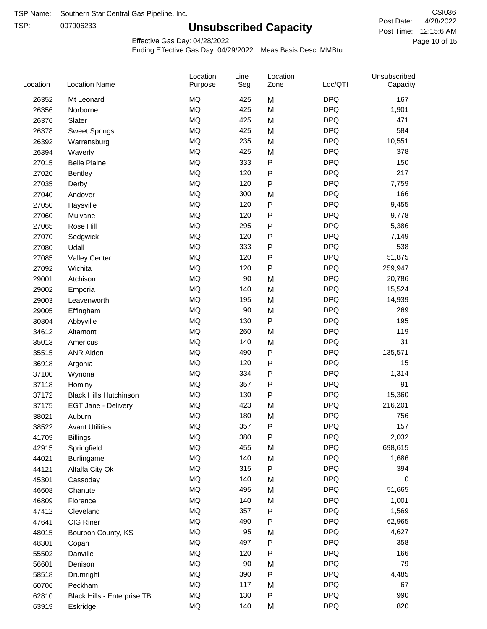TSP:

## **Unsubscribed Capacity**

4/28/2022 Page 10 of 15 Post Time: 12:15:6 AM CSI036 Post Date:

Unsubscribed

Effective Gas Day: 04/28/2022

Location

Ending Effective Gas Day: 04/29/2022 Meas Basis Desc: MMBtu

Line

| <b>MQ</b><br>M<br><b>DPQ</b><br>26352<br>167<br>Mt Leonard<br>425<br><b>MQ</b><br><b>DPQ</b><br>425<br>M<br>1,901<br>26356<br>Norborne<br><b>MQ</b><br><b>DPQ</b><br>471<br>425<br>M<br>26376<br>Slater<br><b>MQ</b><br><b>DPQ</b><br>584<br>425<br>26378<br>M<br><b>Sweet Springs</b><br><b>MQ</b><br>M<br><b>DPQ</b><br>235<br>10,551<br>26392<br>Warrensburg<br><b>MQ</b><br><b>DPQ</b><br>425<br>378<br>26394<br>M<br>Waverly<br><b>MQ</b><br>${\sf P}$<br><b>DPQ</b><br>27015<br>333<br>150<br><b>Belle Plaine</b><br>217<br><b>MQ</b><br><b>DPQ</b><br>120<br>${\sf P}$<br>27020<br><b>Bentley</b><br><b>MQ</b><br>120<br><b>DPQ</b><br>7,759<br>P<br>27035<br>Derby<br><b>MQ</b><br>300<br><b>DPQ</b><br>166<br>M<br>27040<br>Andover<br><b>MQ</b><br><b>DPQ</b><br>120<br>${\sf P}$<br>9,455<br>27050<br>Haysville<br>$\mathsf{P}$<br><b>MQ</b><br><b>DPQ</b><br>120<br>9,778<br>27060<br>Mulvane<br><b>MQ</b><br><b>DPQ</b><br>295<br>${\sf P}$<br>27065<br>5,386<br>Rose Hill<br><b>MQ</b><br>${\sf P}$<br><b>DPQ</b><br>120<br>7,149<br>27070<br>Sedgwick<br><b>MQ</b><br><b>DPQ</b><br>538<br>333<br>${\sf P}$<br>27080<br>Udall<br><b>MQ</b><br>${\sf P}$<br><b>DPQ</b><br>51,875<br>120<br>27085<br><b>Valley Center</b><br><b>MQ</b><br><b>DPQ</b><br>120<br>${\sf P}$<br>259,947<br>27092<br>Wichita<br><b>MQ</b><br>90<br><b>DPQ</b><br>M<br>20,786<br>29001<br>Atchison<br><b>MQ</b><br><b>DPQ</b><br>140<br>M<br>15,524<br>29002<br>Emporia<br><b>MQ</b><br>M<br><b>DPQ</b><br>195<br>14,939<br>29003<br>Leavenworth<br><b>MQ</b><br><b>DPQ</b><br>90<br>M<br>269<br>29005<br>Effingham<br><b>MQ</b><br>${\sf P}$<br><b>DPQ</b><br>195<br>130<br>30804<br>Abbyville<br><b>MQ</b><br>260<br><b>DPQ</b><br>119<br>M<br>34612<br>Altamont<br><b>MQ</b><br>140<br><b>DPQ</b><br>31<br>M<br>35013<br>Americus<br><b>MQ</b><br><b>DPQ</b><br>490<br>P<br>135,571<br>35515<br><b>ANR Alden</b><br><b>MQ</b><br><b>DPQ</b><br>120<br>${\sf P}$<br>15<br>36918<br>Argonia<br><b>MQ</b><br>${\sf P}$<br><b>DPQ</b><br>334<br>1,314<br>37100<br>Wynona<br><b>MQ</b><br><b>DPQ</b><br>91<br>357<br>P<br>37118<br>Hominy<br><b>MQ</b><br>${\sf P}$<br><b>DPQ</b><br>130<br>15,360<br>37172<br><b>Black Hills Hutchinson</b><br><b>MQ</b><br><b>DPQ</b><br>423<br>216,201<br>M<br>37175<br>EGT Jane - Delivery<br><b>MQ</b><br><b>DPQ</b><br>756<br>180<br>M<br>38021<br>Auburn<br><b>MQ</b><br>357<br><b>DPQ</b><br>157<br>P<br>38522<br><b>Avant Utilities</b><br><b>MQ</b><br>380<br>P<br><b>DPQ</b><br>2,032<br>41709<br><b>Billings</b><br>MQ<br>455<br><b>DPQ</b><br>698,615<br>M<br>42915<br>Springfield<br><b>MQ</b><br>140<br><b>DPQ</b><br>M<br>1,686<br>44021<br><b>Burlingame</b><br>MQ<br>315<br>${\sf P}$<br><b>DPQ</b><br>394<br>44121<br>Alfalfa City Ok<br><b>MQ</b><br><b>DPQ</b><br>140<br>0<br>M<br>45301<br>Cassoday<br><b>MQ</b><br><b>DPQ</b><br>495<br>M<br>51,665<br>46608<br>Chanute<br><b>MQ</b><br>140<br><b>DPQ</b><br>1,001<br>M<br>46809<br>Florence<br><b>MQ</b><br><b>DPQ</b><br>357<br>1,569<br>P<br>47412<br>Cleveland<br><b>MQ</b><br><b>DPQ</b><br>490<br>47641<br>CIG Riner<br>P<br>62,965<br><b>MQ</b><br>95<br><b>DPQ</b><br>M<br>4,627<br>48015<br>Bourbon County, KS<br><b>MQ</b><br><b>DPQ</b><br>497<br>${\sf P}$<br>358<br>48301<br>Copan<br><b>MQ</b><br>${\sf P}$<br><b>DPQ</b><br>120<br>166<br>55502<br>Danville<br><b>MQ</b><br><b>DPQ</b><br>79<br>90<br>56601<br>M<br>Denison<br><b>MQ</b><br><b>DPQ</b><br>390<br>P<br>4,485<br>58518<br>Drumright<br><b>MQ</b><br>117<br><b>DPQ</b><br>67<br>M<br>60706<br>Peckham<br><b>MQ</b><br>130<br><b>DPQ</b><br>990<br>P<br>62810<br>Black Hills - Enterprise TB<br><b>MQ</b><br><b>DPQ</b><br>820<br>140<br>63919<br>M<br>Eskridge | Location | <b>Location Name</b> | Purpose | Seg | Zone | Loc/QTI | Capacity |  |
|----------------------------------------------------------------------------------------------------------------------------------------------------------------------------------------------------------------------------------------------------------------------------------------------------------------------------------------------------------------------------------------------------------------------------------------------------------------------------------------------------------------------------------------------------------------------------------------------------------------------------------------------------------------------------------------------------------------------------------------------------------------------------------------------------------------------------------------------------------------------------------------------------------------------------------------------------------------------------------------------------------------------------------------------------------------------------------------------------------------------------------------------------------------------------------------------------------------------------------------------------------------------------------------------------------------------------------------------------------------------------------------------------------------------------------------------------------------------------------------------------------------------------------------------------------------------------------------------------------------------------------------------------------------------------------------------------------------------------------------------------------------------------------------------------------------------------------------------------------------------------------------------------------------------------------------------------------------------------------------------------------------------------------------------------------------------------------------------------------------------------------------------------------------------------------------------------------------------------------------------------------------------------------------------------------------------------------------------------------------------------------------------------------------------------------------------------------------------------------------------------------------------------------------------------------------------------------------------------------------------------------------------------------------------------------------------------------------------------------------------------------------------------------------------------------------------------------------------------------------------------------------------------------------------------------------------------------------------------------------------------------------------------------------------------------------------------------------------------------------------------------------------------------------------------------------------------------------------------------------------------------------------------------------------------------------------------------------------------------------------------------------------------------------------------------------------------------------------------------------------------------------------------------------------------------------------------------------------------------------------------------------------------------------------------------------------------------------------------------------|----------|----------------------|---------|-----|------|---------|----------|--|
|                                                                                                                                                                                                                                                                                                                                                                                                                                                                                                                                                                                                                                                                                                                                                                                                                                                                                                                                                                                                                                                                                                                                                                                                                                                                                                                                                                                                                                                                                                                                                                                                                                                                                                                                                                                                                                                                                                                                                                                                                                                                                                                                                                                                                                                                                                                                                                                                                                                                                                                                                                                                                                                                                                                                                                                                                                                                                                                                                                                                                                                                                                                                                                                                                                                                                                                                                                                                                                                                                                                                                                                                                                                                                                                                        |          |                      |         |     |      |         |          |  |
|                                                                                                                                                                                                                                                                                                                                                                                                                                                                                                                                                                                                                                                                                                                                                                                                                                                                                                                                                                                                                                                                                                                                                                                                                                                                                                                                                                                                                                                                                                                                                                                                                                                                                                                                                                                                                                                                                                                                                                                                                                                                                                                                                                                                                                                                                                                                                                                                                                                                                                                                                                                                                                                                                                                                                                                                                                                                                                                                                                                                                                                                                                                                                                                                                                                                                                                                                                                                                                                                                                                                                                                                                                                                                                                                        |          |                      |         |     |      |         |          |  |
|                                                                                                                                                                                                                                                                                                                                                                                                                                                                                                                                                                                                                                                                                                                                                                                                                                                                                                                                                                                                                                                                                                                                                                                                                                                                                                                                                                                                                                                                                                                                                                                                                                                                                                                                                                                                                                                                                                                                                                                                                                                                                                                                                                                                                                                                                                                                                                                                                                                                                                                                                                                                                                                                                                                                                                                                                                                                                                                                                                                                                                                                                                                                                                                                                                                                                                                                                                                                                                                                                                                                                                                                                                                                                                                                        |          |                      |         |     |      |         |          |  |
|                                                                                                                                                                                                                                                                                                                                                                                                                                                                                                                                                                                                                                                                                                                                                                                                                                                                                                                                                                                                                                                                                                                                                                                                                                                                                                                                                                                                                                                                                                                                                                                                                                                                                                                                                                                                                                                                                                                                                                                                                                                                                                                                                                                                                                                                                                                                                                                                                                                                                                                                                                                                                                                                                                                                                                                                                                                                                                                                                                                                                                                                                                                                                                                                                                                                                                                                                                                                                                                                                                                                                                                                                                                                                                                                        |          |                      |         |     |      |         |          |  |
|                                                                                                                                                                                                                                                                                                                                                                                                                                                                                                                                                                                                                                                                                                                                                                                                                                                                                                                                                                                                                                                                                                                                                                                                                                                                                                                                                                                                                                                                                                                                                                                                                                                                                                                                                                                                                                                                                                                                                                                                                                                                                                                                                                                                                                                                                                                                                                                                                                                                                                                                                                                                                                                                                                                                                                                                                                                                                                                                                                                                                                                                                                                                                                                                                                                                                                                                                                                                                                                                                                                                                                                                                                                                                                                                        |          |                      |         |     |      |         |          |  |
|                                                                                                                                                                                                                                                                                                                                                                                                                                                                                                                                                                                                                                                                                                                                                                                                                                                                                                                                                                                                                                                                                                                                                                                                                                                                                                                                                                                                                                                                                                                                                                                                                                                                                                                                                                                                                                                                                                                                                                                                                                                                                                                                                                                                                                                                                                                                                                                                                                                                                                                                                                                                                                                                                                                                                                                                                                                                                                                                                                                                                                                                                                                                                                                                                                                                                                                                                                                                                                                                                                                                                                                                                                                                                                                                        |          |                      |         |     |      |         |          |  |
|                                                                                                                                                                                                                                                                                                                                                                                                                                                                                                                                                                                                                                                                                                                                                                                                                                                                                                                                                                                                                                                                                                                                                                                                                                                                                                                                                                                                                                                                                                                                                                                                                                                                                                                                                                                                                                                                                                                                                                                                                                                                                                                                                                                                                                                                                                                                                                                                                                                                                                                                                                                                                                                                                                                                                                                                                                                                                                                                                                                                                                                                                                                                                                                                                                                                                                                                                                                                                                                                                                                                                                                                                                                                                                                                        |          |                      |         |     |      |         |          |  |
|                                                                                                                                                                                                                                                                                                                                                                                                                                                                                                                                                                                                                                                                                                                                                                                                                                                                                                                                                                                                                                                                                                                                                                                                                                                                                                                                                                                                                                                                                                                                                                                                                                                                                                                                                                                                                                                                                                                                                                                                                                                                                                                                                                                                                                                                                                                                                                                                                                                                                                                                                                                                                                                                                                                                                                                                                                                                                                                                                                                                                                                                                                                                                                                                                                                                                                                                                                                                                                                                                                                                                                                                                                                                                                                                        |          |                      |         |     |      |         |          |  |
|                                                                                                                                                                                                                                                                                                                                                                                                                                                                                                                                                                                                                                                                                                                                                                                                                                                                                                                                                                                                                                                                                                                                                                                                                                                                                                                                                                                                                                                                                                                                                                                                                                                                                                                                                                                                                                                                                                                                                                                                                                                                                                                                                                                                                                                                                                                                                                                                                                                                                                                                                                                                                                                                                                                                                                                                                                                                                                                                                                                                                                                                                                                                                                                                                                                                                                                                                                                                                                                                                                                                                                                                                                                                                                                                        |          |                      |         |     |      |         |          |  |
|                                                                                                                                                                                                                                                                                                                                                                                                                                                                                                                                                                                                                                                                                                                                                                                                                                                                                                                                                                                                                                                                                                                                                                                                                                                                                                                                                                                                                                                                                                                                                                                                                                                                                                                                                                                                                                                                                                                                                                                                                                                                                                                                                                                                                                                                                                                                                                                                                                                                                                                                                                                                                                                                                                                                                                                                                                                                                                                                                                                                                                                                                                                                                                                                                                                                                                                                                                                                                                                                                                                                                                                                                                                                                                                                        |          |                      |         |     |      |         |          |  |
|                                                                                                                                                                                                                                                                                                                                                                                                                                                                                                                                                                                                                                                                                                                                                                                                                                                                                                                                                                                                                                                                                                                                                                                                                                                                                                                                                                                                                                                                                                                                                                                                                                                                                                                                                                                                                                                                                                                                                                                                                                                                                                                                                                                                                                                                                                                                                                                                                                                                                                                                                                                                                                                                                                                                                                                                                                                                                                                                                                                                                                                                                                                                                                                                                                                                                                                                                                                                                                                                                                                                                                                                                                                                                                                                        |          |                      |         |     |      |         |          |  |
|                                                                                                                                                                                                                                                                                                                                                                                                                                                                                                                                                                                                                                                                                                                                                                                                                                                                                                                                                                                                                                                                                                                                                                                                                                                                                                                                                                                                                                                                                                                                                                                                                                                                                                                                                                                                                                                                                                                                                                                                                                                                                                                                                                                                                                                                                                                                                                                                                                                                                                                                                                                                                                                                                                                                                                                                                                                                                                                                                                                                                                                                                                                                                                                                                                                                                                                                                                                                                                                                                                                                                                                                                                                                                                                                        |          |                      |         |     |      |         |          |  |
|                                                                                                                                                                                                                                                                                                                                                                                                                                                                                                                                                                                                                                                                                                                                                                                                                                                                                                                                                                                                                                                                                                                                                                                                                                                                                                                                                                                                                                                                                                                                                                                                                                                                                                                                                                                                                                                                                                                                                                                                                                                                                                                                                                                                                                                                                                                                                                                                                                                                                                                                                                                                                                                                                                                                                                                                                                                                                                                                                                                                                                                                                                                                                                                                                                                                                                                                                                                                                                                                                                                                                                                                                                                                                                                                        |          |                      |         |     |      |         |          |  |
|                                                                                                                                                                                                                                                                                                                                                                                                                                                                                                                                                                                                                                                                                                                                                                                                                                                                                                                                                                                                                                                                                                                                                                                                                                                                                                                                                                                                                                                                                                                                                                                                                                                                                                                                                                                                                                                                                                                                                                                                                                                                                                                                                                                                                                                                                                                                                                                                                                                                                                                                                                                                                                                                                                                                                                                                                                                                                                                                                                                                                                                                                                                                                                                                                                                                                                                                                                                                                                                                                                                                                                                                                                                                                                                                        |          |                      |         |     |      |         |          |  |
|                                                                                                                                                                                                                                                                                                                                                                                                                                                                                                                                                                                                                                                                                                                                                                                                                                                                                                                                                                                                                                                                                                                                                                                                                                                                                                                                                                                                                                                                                                                                                                                                                                                                                                                                                                                                                                                                                                                                                                                                                                                                                                                                                                                                                                                                                                                                                                                                                                                                                                                                                                                                                                                                                                                                                                                                                                                                                                                                                                                                                                                                                                                                                                                                                                                                                                                                                                                                                                                                                                                                                                                                                                                                                                                                        |          |                      |         |     |      |         |          |  |
|                                                                                                                                                                                                                                                                                                                                                                                                                                                                                                                                                                                                                                                                                                                                                                                                                                                                                                                                                                                                                                                                                                                                                                                                                                                                                                                                                                                                                                                                                                                                                                                                                                                                                                                                                                                                                                                                                                                                                                                                                                                                                                                                                                                                                                                                                                                                                                                                                                                                                                                                                                                                                                                                                                                                                                                                                                                                                                                                                                                                                                                                                                                                                                                                                                                                                                                                                                                                                                                                                                                                                                                                                                                                                                                                        |          |                      |         |     |      |         |          |  |
|                                                                                                                                                                                                                                                                                                                                                                                                                                                                                                                                                                                                                                                                                                                                                                                                                                                                                                                                                                                                                                                                                                                                                                                                                                                                                                                                                                                                                                                                                                                                                                                                                                                                                                                                                                                                                                                                                                                                                                                                                                                                                                                                                                                                                                                                                                                                                                                                                                                                                                                                                                                                                                                                                                                                                                                                                                                                                                                                                                                                                                                                                                                                                                                                                                                                                                                                                                                                                                                                                                                                                                                                                                                                                                                                        |          |                      |         |     |      |         |          |  |
|                                                                                                                                                                                                                                                                                                                                                                                                                                                                                                                                                                                                                                                                                                                                                                                                                                                                                                                                                                                                                                                                                                                                                                                                                                                                                                                                                                                                                                                                                                                                                                                                                                                                                                                                                                                                                                                                                                                                                                                                                                                                                                                                                                                                                                                                                                                                                                                                                                                                                                                                                                                                                                                                                                                                                                                                                                                                                                                                                                                                                                                                                                                                                                                                                                                                                                                                                                                                                                                                                                                                                                                                                                                                                                                                        |          |                      |         |     |      |         |          |  |
|                                                                                                                                                                                                                                                                                                                                                                                                                                                                                                                                                                                                                                                                                                                                                                                                                                                                                                                                                                                                                                                                                                                                                                                                                                                                                                                                                                                                                                                                                                                                                                                                                                                                                                                                                                                                                                                                                                                                                                                                                                                                                                                                                                                                                                                                                                                                                                                                                                                                                                                                                                                                                                                                                                                                                                                                                                                                                                                                                                                                                                                                                                                                                                                                                                                                                                                                                                                                                                                                                                                                                                                                                                                                                                                                        |          |                      |         |     |      |         |          |  |
|                                                                                                                                                                                                                                                                                                                                                                                                                                                                                                                                                                                                                                                                                                                                                                                                                                                                                                                                                                                                                                                                                                                                                                                                                                                                                                                                                                                                                                                                                                                                                                                                                                                                                                                                                                                                                                                                                                                                                                                                                                                                                                                                                                                                                                                                                                                                                                                                                                                                                                                                                                                                                                                                                                                                                                                                                                                                                                                                                                                                                                                                                                                                                                                                                                                                                                                                                                                                                                                                                                                                                                                                                                                                                                                                        |          |                      |         |     |      |         |          |  |
|                                                                                                                                                                                                                                                                                                                                                                                                                                                                                                                                                                                                                                                                                                                                                                                                                                                                                                                                                                                                                                                                                                                                                                                                                                                                                                                                                                                                                                                                                                                                                                                                                                                                                                                                                                                                                                                                                                                                                                                                                                                                                                                                                                                                                                                                                                                                                                                                                                                                                                                                                                                                                                                                                                                                                                                                                                                                                                                                                                                                                                                                                                                                                                                                                                                                                                                                                                                                                                                                                                                                                                                                                                                                                                                                        |          |                      |         |     |      |         |          |  |
|                                                                                                                                                                                                                                                                                                                                                                                                                                                                                                                                                                                                                                                                                                                                                                                                                                                                                                                                                                                                                                                                                                                                                                                                                                                                                                                                                                                                                                                                                                                                                                                                                                                                                                                                                                                                                                                                                                                                                                                                                                                                                                                                                                                                                                                                                                                                                                                                                                                                                                                                                                                                                                                                                                                                                                                                                                                                                                                                                                                                                                                                                                                                                                                                                                                                                                                                                                                                                                                                                                                                                                                                                                                                                                                                        |          |                      |         |     |      |         |          |  |
|                                                                                                                                                                                                                                                                                                                                                                                                                                                                                                                                                                                                                                                                                                                                                                                                                                                                                                                                                                                                                                                                                                                                                                                                                                                                                                                                                                                                                                                                                                                                                                                                                                                                                                                                                                                                                                                                                                                                                                                                                                                                                                                                                                                                                                                                                                                                                                                                                                                                                                                                                                                                                                                                                                                                                                                                                                                                                                                                                                                                                                                                                                                                                                                                                                                                                                                                                                                                                                                                                                                                                                                                                                                                                                                                        |          |                      |         |     |      |         |          |  |
|                                                                                                                                                                                                                                                                                                                                                                                                                                                                                                                                                                                                                                                                                                                                                                                                                                                                                                                                                                                                                                                                                                                                                                                                                                                                                                                                                                                                                                                                                                                                                                                                                                                                                                                                                                                                                                                                                                                                                                                                                                                                                                                                                                                                                                                                                                                                                                                                                                                                                                                                                                                                                                                                                                                                                                                                                                                                                                                                                                                                                                                                                                                                                                                                                                                                                                                                                                                                                                                                                                                                                                                                                                                                                                                                        |          |                      |         |     |      |         |          |  |
|                                                                                                                                                                                                                                                                                                                                                                                                                                                                                                                                                                                                                                                                                                                                                                                                                                                                                                                                                                                                                                                                                                                                                                                                                                                                                                                                                                                                                                                                                                                                                                                                                                                                                                                                                                                                                                                                                                                                                                                                                                                                                                                                                                                                                                                                                                                                                                                                                                                                                                                                                                                                                                                                                                                                                                                                                                                                                                                                                                                                                                                                                                                                                                                                                                                                                                                                                                                                                                                                                                                                                                                                                                                                                                                                        |          |                      |         |     |      |         |          |  |
|                                                                                                                                                                                                                                                                                                                                                                                                                                                                                                                                                                                                                                                                                                                                                                                                                                                                                                                                                                                                                                                                                                                                                                                                                                                                                                                                                                                                                                                                                                                                                                                                                                                                                                                                                                                                                                                                                                                                                                                                                                                                                                                                                                                                                                                                                                                                                                                                                                                                                                                                                                                                                                                                                                                                                                                                                                                                                                                                                                                                                                                                                                                                                                                                                                                                                                                                                                                                                                                                                                                                                                                                                                                                                                                                        |          |                      |         |     |      |         |          |  |
|                                                                                                                                                                                                                                                                                                                                                                                                                                                                                                                                                                                                                                                                                                                                                                                                                                                                                                                                                                                                                                                                                                                                                                                                                                                                                                                                                                                                                                                                                                                                                                                                                                                                                                                                                                                                                                                                                                                                                                                                                                                                                                                                                                                                                                                                                                                                                                                                                                                                                                                                                                                                                                                                                                                                                                                                                                                                                                                                                                                                                                                                                                                                                                                                                                                                                                                                                                                                                                                                                                                                                                                                                                                                                                                                        |          |                      |         |     |      |         |          |  |
|                                                                                                                                                                                                                                                                                                                                                                                                                                                                                                                                                                                                                                                                                                                                                                                                                                                                                                                                                                                                                                                                                                                                                                                                                                                                                                                                                                                                                                                                                                                                                                                                                                                                                                                                                                                                                                                                                                                                                                                                                                                                                                                                                                                                                                                                                                                                                                                                                                                                                                                                                                                                                                                                                                                                                                                                                                                                                                                                                                                                                                                                                                                                                                                                                                                                                                                                                                                                                                                                                                                                                                                                                                                                                                                                        |          |                      |         |     |      |         |          |  |
|                                                                                                                                                                                                                                                                                                                                                                                                                                                                                                                                                                                                                                                                                                                                                                                                                                                                                                                                                                                                                                                                                                                                                                                                                                                                                                                                                                                                                                                                                                                                                                                                                                                                                                                                                                                                                                                                                                                                                                                                                                                                                                                                                                                                                                                                                                                                                                                                                                                                                                                                                                                                                                                                                                                                                                                                                                                                                                                                                                                                                                                                                                                                                                                                                                                                                                                                                                                                                                                                                                                                                                                                                                                                                                                                        |          |                      |         |     |      |         |          |  |
|                                                                                                                                                                                                                                                                                                                                                                                                                                                                                                                                                                                                                                                                                                                                                                                                                                                                                                                                                                                                                                                                                                                                                                                                                                                                                                                                                                                                                                                                                                                                                                                                                                                                                                                                                                                                                                                                                                                                                                                                                                                                                                                                                                                                                                                                                                                                                                                                                                                                                                                                                                                                                                                                                                                                                                                                                                                                                                                                                                                                                                                                                                                                                                                                                                                                                                                                                                                                                                                                                                                                                                                                                                                                                                                                        |          |                      |         |     |      |         |          |  |
|                                                                                                                                                                                                                                                                                                                                                                                                                                                                                                                                                                                                                                                                                                                                                                                                                                                                                                                                                                                                                                                                                                                                                                                                                                                                                                                                                                                                                                                                                                                                                                                                                                                                                                                                                                                                                                                                                                                                                                                                                                                                                                                                                                                                                                                                                                                                                                                                                                                                                                                                                                                                                                                                                                                                                                                                                                                                                                                                                                                                                                                                                                                                                                                                                                                                                                                                                                                                                                                                                                                                                                                                                                                                                                                                        |          |                      |         |     |      |         |          |  |
|                                                                                                                                                                                                                                                                                                                                                                                                                                                                                                                                                                                                                                                                                                                                                                                                                                                                                                                                                                                                                                                                                                                                                                                                                                                                                                                                                                                                                                                                                                                                                                                                                                                                                                                                                                                                                                                                                                                                                                                                                                                                                                                                                                                                                                                                                                                                                                                                                                                                                                                                                                                                                                                                                                                                                                                                                                                                                                                                                                                                                                                                                                                                                                                                                                                                                                                                                                                                                                                                                                                                                                                                                                                                                                                                        |          |                      |         |     |      |         |          |  |
|                                                                                                                                                                                                                                                                                                                                                                                                                                                                                                                                                                                                                                                                                                                                                                                                                                                                                                                                                                                                                                                                                                                                                                                                                                                                                                                                                                                                                                                                                                                                                                                                                                                                                                                                                                                                                                                                                                                                                                                                                                                                                                                                                                                                                                                                                                                                                                                                                                                                                                                                                                                                                                                                                                                                                                                                                                                                                                                                                                                                                                                                                                                                                                                                                                                                                                                                                                                                                                                                                                                                                                                                                                                                                                                                        |          |                      |         |     |      |         |          |  |
|                                                                                                                                                                                                                                                                                                                                                                                                                                                                                                                                                                                                                                                                                                                                                                                                                                                                                                                                                                                                                                                                                                                                                                                                                                                                                                                                                                                                                                                                                                                                                                                                                                                                                                                                                                                                                                                                                                                                                                                                                                                                                                                                                                                                                                                                                                                                                                                                                                                                                                                                                                                                                                                                                                                                                                                                                                                                                                                                                                                                                                                                                                                                                                                                                                                                                                                                                                                                                                                                                                                                                                                                                                                                                                                                        |          |                      |         |     |      |         |          |  |
|                                                                                                                                                                                                                                                                                                                                                                                                                                                                                                                                                                                                                                                                                                                                                                                                                                                                                                                                                                                                                                                                                                                                                                                                                                                                                                                                                                                                                                                                                                                                                                                                                                                                                                                                                                                                                                                                                                                                                                                                                                                                                                                                                                                                                                                                                                                                                                                                                                                                                                                                                                                                                                                                                                                                                                                                                                                                                                                                                                                                                                                                                                                                                                                                                                                                                                                                                                                                                                                                                                                                                                                                                                                                                                                                        |          |                      |         |     |      |         |          |  |
|                                                                                                                                                                                                                                                                                                                                                                                                                                                                                                                                                                                                                                                                                                                                                                                                                                                                                                                                                                                                                                                                                                                                                                                                                                                                                                                                                                                                                                                                                                                                                                                                                                                                                                                                                                                                                                                                                                                                                                                                                                                                                                                                                                                                                                                                                                                                                                                                                                                                                                                                                                                                                                                                                                                                                                                                                                                                                                                                                                                                                                                                                                                                                                                                                                                                                                                                                                                                                                                                                                                                                                                                                                                                                                                                        |          |                      |         |     |      |         |          |  |
|                                                                                                                                                                                                                                                                                                                                                                                                                                                                                                                                                                                                                                                                                                                                                                                                                                                                                                                                                                                                                                                                                                                                                                                                                                                                                                                                                                                                                                                                                                                                                                                                                                                                                                                                                                                                                                                                                                                                                                                                                                                                                                                                                                                                                                                                                                                                                                                                                                                                                                                                                                                                                                                                                                                                                                                                                                                                                                                                                                                                                                                                                                                                                                                                                                                                                                                                                                                                                                                                                                                                                                                                                                                                                                                                        |          |                      |         |     |      |         |          |  |
|                                                                                                                                                                                                                                                                                                                                                                                                                                                                                                                                                                                                                                                                                                                                                                                                                                                                                                                                                                                                                                                                                                                                                                                                                                                                                                                                                                                                                                                                                                                                                                                                                                                                                                                                                                                                                                                                                                                                                                                                                                                                                                                                                                                                                                                                                                                                                                                                                                                                                                                                                                                                                                                                                                                                                                                                                                                                                                                                                                                                                                                                                                                                                                                                                                                                                                                                                                                                                                                                                                                                                                                                                                                                                                                                        |          |                      |         |     |      |         |          |  |
|                                                                                                                                                                                                                                                                                                                                                                                                                                                                                                                                                                                                                                                                                                                                                                                                                                                                                                                                                                                                                                                                                                                                                                                                                                                                                                                                                                                                                                                                                                                                                                                                                                                                                                                                                                                                                                                                                                                                                                                                                                                                                                                                                                                                                                                                                                                                                                                                                                                                                                                                                                                                                                                                                                                                                                                                                                                                                                                                                                                                                                                                                                                                                                                                                                                                                                                                                                                                                                                                                                                                                                                                                                                                                                                                        |          |                      |         |     |      |         |          |  |
|                                                                                                                                                                                                                                                                                                                                                                                                                                                                                                                                                                                                                                                                                                                                                                                                                                                                                                                                                                                                                                                                                                                                                                                                                                                                                                                                                                                                                                                                                                                                                                                                                                                                                                                                                                                                                                                                                                                                                                                                                                                                                                                                                                                                                                                                                                                                                                                                                                                                                                                                                                                                                                                                                                                                                                                                                                                                                                                                                                                                                                                                                                                                                                                                                                                                                                                                                                                                                                                                                                                                                                                                                                                                                                                                        |          |                      |         |     |      |         |          |  |
|                                                                                                                                                                                                                                                                                                                                                                                                                                                                                                                                                                                                                                                                                                                                                                                                                                                                                                                                                                                                                                                                                                                                                                                                                                                                                                                                                                                                                                                                                                                                                                                                                                                                                                                                                                                                                                                                                                                                                                                                                                                                                                                                                                                                                                                                                                                                                                                                                                                                                                                                                                                                                                                                                                                                                                                                                                                                                                                                                                                                                                                                                                                                                                                                                                                                                                                                                                                                                                                                                                                                                                                                                                                                                                                                        |          |                      |         |     |      |         |          |  |
|                                                                                                                                                                                                                                                                                                                                                                                                                                                                                                                                                                                                                                                                                                                                                                                                                                                                                                                                                                                                                                                                                                                                                                                                                                                                                                                                                                                                                                                                                                                                                                                                                                                                                                                                                                                                                                                                                                                                                                                                                                                                                                                                                                                                                                                                                                                                                                                                                                                                                                                                                                                                                                                                                                                                                                                                                                                                                                                                                                                                                                                                                                                                                                                                                                                                                                                                                                                                                                                                                                                                                                                                                                                                                                                                        |          |                      |         |     |      |         |          |  |
|                                                                                                                                                                                                                                                                                                                                                                                                                                                                                                                                                                                                                                                                                                                                                                                                                                                                                                                                                                                                                                                                                                                                                                                                                                                                                                                                                                                                                                                                                                                                                                                                                                                                                                                                                                                                                                                                                                                                                                                                                                                                                                                                                                                                                                                                                                                                                                                                                                                                                                                                                                                                                                                                                                                                                                                                                                                                                                                                                                                                                                                                                                                                                                                                                                                                                                                                                                                                                                                                                                                                                                                                                                                                                                                                        |          |                      |         |     |      |         |          |  |
|                                                                                                                                                                                                                                                                                                                                                                                                                                                                                                                                                                                                                                                                                                                                                                                                                                                                                                                                                                                                                                                                                                                                                                                                                                                                                                                                                                                                                                                                                                                                                                                                                                                                                                                                                                                                                                                                                                                                                                                                                                                                                                                                                                                                                                                                                                                                                                                                                                                                                                                                                                                                                                                                                                                                                                                                                                                                                                                                                                                                                                                                                                                                                                                                                                                                                                                                                                                                                                                                                                                                                                                                                                                                                                                                        |          |                      |         |     |      |         |          |  |
|                                                                                                                                                                                                                                                                                                                                                                                                                                                                                                                                                                                                                                                                                                                                                                                                                                                                                                                                                                                                                                                                                                                                                                                                                                                                                                                                                                                                                                                                                                                                                                                                                                                                                                                                                                                                                                                                                                                                                                                                                                                                                                                                                                                                                                                                                                                                                                                                                                                                                                                                                                                                                                                                                                                                                                                                                                                                                                                                                                                                                                                                                                                                                                                                                                                                                                                                                                                                                                                                                                                                                                                                                                                                                                                                        |          |                      |         |     |      |         |          |  |
|                                                                                                                                                                                                                                                                                                                                                                                                                                                                                                                                                                                                                                                                                                                                                                                                                                                                                                                                                                                                                                                                                                                                                                                                                                                                                                                                                                                                                                                                                                                                                                                                                                                                                                                                                                                                                                                                                                                                                                                                                                                                                                                                                                                                                                                                                                                                                                                                                                                                                                                                                                                                                                                                                                                                                                                                                                                                                                                                                                                                                                                                                                                                                                                                                                                                                                                                                                                                                                                                                                                                                                                                                                                                                                                                        |          |                      |         |     |      |         |          |  |
|                                                                                                                                                                                                                                                                                                                                                                                                                                                                                                                                                                                                                                                                                                                                                                                                                                                                                                                                                                                                                                                                                                                                                                                                                                                                                                                                                                                                                                                                                                                                                                                                                                                                                                                                                                                                                                                                                                                                                                                                                                                                                                                                                                                                                                                                                                                                                                                                                                                                                                                                                                                                                                                                                                                                                                                                                                                                                                                                                                                                                                                                                                                                                                                                                                                                                                                                                                                                                                                                                                                                                                                                                                                                                                                                        |          |                      |         |     |      |         |          |  |
|                                                                                                                                                                                                                                                                                                                                                                                                                                                                                                                                                                                                                                                                                                                                                                                                                                                                                                                                                                                                                                                                                                                                                                                                                                                                                                                                                                                                                                                                                                                                                                                                                                                                                                                                                                                                                                                                                                                                                                                                                                                                                                                                                                                                                                                                                                                                                                                                                                                                                                                                                                                                                                                                                                                                                                                                                                                                                                                                                                                                                                                                                                                                                                                                                                                                                                                                                                                                                                                                                                                                                                                                                                                                                                                                        |          |                      |         |     |      |         |          |  |
|                                                                                                                                                                                                                                                                                                                                                                                                                                                                                                                                                                                                                                                                                                                                                                                                                                                                                                                                                                                                                                                                                                                                                                                                                                                                                                                                                                                                                                                                                                                                                                                                                                                                                                                                                                                                                                                                                                                                                                                                                                                                                                                                                                                                                                                                                                                                                                                                                                                                                                                                                                                                                                                                                                                                                                                                                                                                                                                                                                                                                                                                                                                                                                                                                                                                                                                                                                                                                                                                                                                                                                                                                                                                                                                                        |          |                      |         |     |      |         |          |  |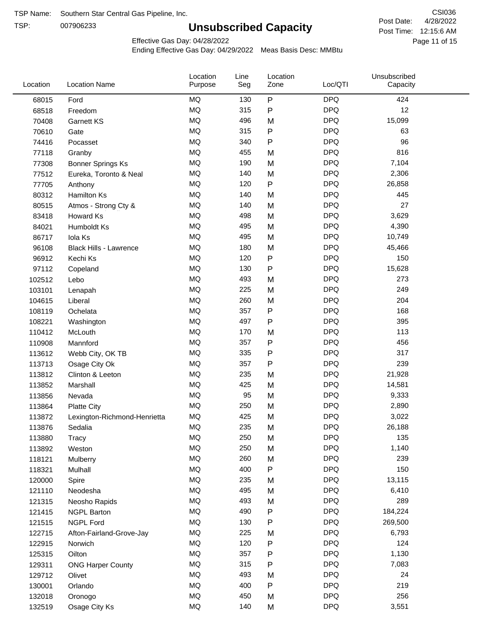TSP:

## **Unsubscribed Capacity**

4/28/2022 Page 11 of 15 Post Time: 12:15:6 AM CSI036 Post Date:

Unsubscribed

Effective Gas Day: 04/28/2022

Location

Ending Effective Gas Day: 04/29/2022 Meas Basis Desc: MMBtu

Line

| P<br><b>DPQ</b><br><b>MQ</b><br>130<br>424<br>68015<br>Ford<br>MQ<br><b>DPQ</b><br>12<br>315<br>${\sf P}$<br>68518<br>Freedom<br><b>MQ</b><br><b>DPQ</b><br>496<br>M<br>15,099<br>70408<br>Garnett KS<br><b>MQ</b><br>315<br><b>DPQ</b><br>P<br>63<br>70610<br>Gate<br><b>MQ</b><br>P<br><b>DPQ</b><br>96<br>340<br>74416<br>Pocasset<br>MQ<br><b>DPQ</b><br>816<br>455<br>77118<br>M<br>Granby<br>MQ<br><b>DPQ</b><br>190<br>7,104<br>M<br>77308<br><b>Bonner Springs Ks</b><br><b>DPQ</b><br>MQ<br>140<br>2,306<br>M<br>77512<br>Eureka, Toronto & Neal<br><b>MQ</b><br>P<br><b>DPQ</b><br>77705<br>120<br>26,858<br>Anthony<br><b>MQ</b><br>140<br><b>DPQ</b><br>445<br>M<br>80312<br>Hamilton Ks<br>MQ<br><b>DPQ</b><br>27<br>140<br>80515<br>M<br>Atmos - Strong Cty &<br>MQ<br><b>DPQ</b><br>498<br>M<br>3,629<br>83418<br>Howard Ks<br><b>DPQ</b><br>MQ<br>495<br>4,390<br>84021<br>M<br>Humboldt Ks<br>MQ<br><b>DPQ</b><br>495<br>M<br>10,749<br>86717<br>Iola Ks<br>MQ<br><b>DPQ</b><br>180<br>M<br>45,466<br>96108<br>Black Hills - Lawrence<br>MQ<br>P<br><b>DPQ</b><br>120<br>150<br>96912<br>Kechi Ks<br><b>MQ</b><br><b>DPQ</b><br>130<br>P<br>15,628<br>97112<br>Copeland<br><b>MQ</b><br><b>DPQ</b><br>493<br>273<br>M<br>102512<br>Lebo<br><b>MQ</b><br><b>DPQ</b><br>249<br>225<br>103101<br>M<br>Lenapah<br>MQ<br><b>DPQ</b><br>204<br>260<br>M<br>104615<br>Liberal<br>MQ<br><b>DPQ</b><br>357<br>P<br>168<br>108119<br>Ochelata<br>MQ<br>P<br><b>DPQ</b><br>395<br>497<br>108221<br>Washington<br><b>MQ</b><br>170<br><b>DPQ</b><br>113<br>110412<br>McLouth<br>M<br><b>MQ</b><br>P<br><b>DPQ</b><br>Mannford<br>357<br>456<br>110908<br>MQ<br>${\sf P}$<br><b>DPQ</b><br>317<br>335<br>113612<br>Webb City, OK TB<br>MQ<br><b>DPQ</b><br>239<br>357<br>${\sf P}$<br>Osage City Ok<br>113713<br><b>MQ</b><br><b>DPQ</b><br>235<br>M<br>21,928<br>113812<br>Clinton & Leeton<br>MQ<br><b>DPQ</b><br>425<br>14,581<br>M<br>113852<br>Marshall<br>MQ<br><b>DPQ</b><br>95<br>M<br>9,333<br>113856<br>Nevada<br>MQ<br><b>DPQ</b><br>250<br>2,890<br>M<br>113864<br><b>Platte City</b><br>MQ<br><b>DPQ</b><br>425<br>M<br>3,022<br>113872<br>Lexington-Richmond-Henrietta<br>MQ<br>235<br><b>DPQ</b><br>26,188<br>113876<br>Sedalia<br>M<br>$\sf{MQ}$<br>250<br><b>DPQ</b><br>M<br>135<br>113880<br>Tracy<br>MQ<br><b>DPQ</b><br>250<br>1,140<br>M<br>113892<br>Weston<br>MQ<br><b>DPQ</b><br>239<br>260<br>M<br>118121<br>Mulberry<br>150<br>MQ<br>400<br>P<br><b>DPQ</b><br>118321<br>Mulhall<br>MQ<br><b>DPQ</b><br>235<br>M<br>13,115<br>120000<br>Spire<br>MQ<br><b>DPQ</b><br>495<br>121110<br>M<br>6,410<br>Neodesha<br>$\sf{MQ}$<br><b>DPQ</b><br>493<br>289<br>M<br>121315<br>Neosho Rapids<br>MQ<br><b>DPQ</b><br>490<br>Ρ<br>184,224<br>121415<br><b>NGPL Barton</b><br><b>DPQ</b><br>MQ<br>130<br>269,500<br>P<br>121515<br><b>NGPL Ford</b><br>MQ<br><b>DPQ</b><br>225<br>M<br>6,793<br>122715<br>Afton-Fairland-Grove-Jay<br><b>DPQ</b><br>124<br>MQ<br>120<br>P<br>122915<br>Norwich<br>MQ<br>${\sf P}$<br><b>DPQ</b><br>357<br>1,130<br>Oilton<br>125315<br><b>DPQ</b><br>MQ<br>315<br>P<br>7,083<br>129311<br><b>ONG Harper County</b><br>MQ<br><b>DPQ</b><br>493<br>24<br>M<br>129712<br>Olivet<br>MQ<br><b>DPQ</b><br>219<br>400<br>P<br>130001<br>Orlando<br>$\sf{MQ}$<br><b>DPQ</b><br>256<br>450<br>M<br>132018<br>Oronogo<br>$\sf{MQ}$<br><b>DPQ</b><br>140<br>3,551<br>Osage City Ks<br>M<br>132519 | Location | <b>Location Name</b> | Purpose | Seg | Zone | Loc/QTI | Capacity |  |
|--------------------------------------------------------------------------------------------------------------------------------------------------------------------------------------------------------------------------------------------------------------------------------------------------------------------------------------------------------------------------------------------------------------------------------------------------------------------------------------------------------------------------------------------------------------------------------------------------------------------------------------------------------------------------------------------------------------------------------------------------------------------------------------------------------------------------------------------------------------------------------------------------------------------------------------------------------------------------------------------------------------------------------------------------------------------------------------------------------------------------------------------------------------------------------------------------------------------------------------------------------------------------------------------------------------------------------------------------------------------------------------------------------------------------------------------------------------------------------------------------------------------------------------------------------------------------------------------------------------------------------------------------------------------------------------------------------------------------------------------------------------------------------------------------------------------------------------------------------------------------------------------------------------------------------------------------------------------------------------------------------------------------------------------------------------------------------------------------------------------------------------------------------------------------------------------------------------------------------------------------------------------------------------------------------------------------------------------------------------------------------------------------------------------------------------------------------------------------------------------------------------------------------------------------------------------------------------------------------------------------------------------------------------------------------------------------------------------------------------------------------------------------------------------------------------------------------------------------------------------------------------------------------------------------------------------------------------------------------------------------------------------------------------------------------------------------------------------------------------------------------------------------------------------------------------------------------------------------------------------------------------------------------------------------------------------------------------------------------------------------------------------------------------------------------------------|----------|----------------------|---------|-----|------|---------|----------|--|
|                                                                                                                                                                                                                                                                                                                                                                                                                                                                                                                                                                                                                                                                                                                                                                                                                                                                                                                                                                                                                                                                                                                                                                                                                                                                                                                                                                                                                                                                                                                                                                                                                                                                                                                                                                                                                                                                                                                                                                                                                                                                                                                                                                                                                                                                                                                                                                                                                                                                                                                                                                                                                                                                                                                                                                                                                                                                                                                                                                                                                                                                                                                                                                                                                                                                                                                                                                                                                                            |          |                      |         |     |      |         |          |  |
|                                                                                                                                                                                                                                                                                                                                                                                                                                                                                                                                                                                                                                                                                                                                                                                                                                                                                                                                                                                                                                                                                                                                                                                                                                                                                                                                                                                                                                                                                                                                                                                                                                                                                                                                                                                                                                                                                                                                                                                                                                                                                                                                                                                                                                                                                                                                                                                                                                                                                                                                                                                                                                                                                                                                                                                                                                                                                                                                                                                                                                                                                                                                                                                                                                                                                                                                                                                                                                            |          |                      |         |     |      |         |          |  |
|                                                                                                                                                                                                                                                                                                                                                                                                                                                                                                                                                                                                                                                                                                                                                                                                                                                                                                                                                                                                                                                                                                                                                                                                                                                                                                                                                                                                                                                                                                                                                                                                                                                                                                                                                                                                                                                                                                                                                                                                                                                                                                                                                                                                                                                                                                                                                                                                                                                                                                                                                                                                                                                                                                                                                                                                                                                                                                                                                                                                                                                                                                                                                                                                                                                                                                                                                                                                                                            |          |                      |         |     |      |         |          |  |
|                                                                                                                                                                                                                                                                                                                                                                                                                                                                                                                                                                                                                                                                                                                                                                                                                                                                                                                                                                                                                                                                                                                                                                                                                                                                                                                                                                                                                                                                                                                                                                                                                                                                                                                                                                                                                                                                                                                                                                                                                                                                                                                                                                                                                                                                                                                                                                                                                                                                                                                                                                                                                                                                                                                                                                                                                                                                                                                                                                                                                                                                                                                                                                                                                                                                                                                                                                                                                                            |          |                      |         |     |      |         |          |  |
|                                                                                                                                                                                                                                                                                                                                                                                                                                                                                                                                                                                                                                                                                                                                                                                                                                                                                                                                                                                                                                                                                                                                                                                                                                                                                                                                                                                                                                                                                                                                                                                                                                                                                                                                                                                                                                                                                                                                                                                                                                                                                                                                                                                                                                                                                                                                                                                                                                                                                                                                                                                                                                                                                                                                                                                                                                                                                                                                                                                                                                                                                                                                                                                                                                                                                                                                                                                                                                            |          |                      |         |     |      |         |          |  |
|                                                                                                                                                                                                                                                                                                                                                                                                                                                                                                                                                                                                                                                                                                                                                                                                                                                                                                                                                                                                                                                                                                                                                                                                                                                                                                                                                                                                                                                                                                                                                                                                                                                                                                                                                                                                                                                                                                                                                                                                                                                                                                                                                                                                                                                                                                                                                                                                                                                                                                                                                                                                                                                                                                                                                                                                                                                                                                                                                                                                                                                                                                                                                                                                                                                                                                                                                                                                                                            |          |                      |         |     |      |         |          |  |
|                                                                                                                                                                                                                                                                                                                                                                                                                                                                                                                                                                                                                                                                                                                                                                                                                                                                                                                                                                                                                                                                                                                                                                                                                                                                                                                                                                                                                                                                                                                                                                                                                                                                                                                                                                                                                                                                                                                                                                                                                                                                                                                                                                                                                                                                                                                                                                                                                                                                                                                                                                                                                                                                                                                                                                                                                                                                                                                                                                                                                                                                                                                                                                                                                                                                                                                                                                                                                                            |          |                      |         |     |      |         |          |  |
|                                                                                                                                                                                                                                                                                                                                                                                                                                                                                                                                                                                                                                                                                                                                                                                                                                                                                                                                                                                                                                                                                                                                                                                                                                                                                                                                                                                                                                                                                                                                                                                                                                                                                                                                                                                                                                                                                                                                                                                                                                                                                                                                                                                                                                                                                                                                                                                                                                                                                                                                                                                                                                                                                                                                                                                                                                                                                                                                                                                                                                                                                                                                                                                                                                                                                                                                                                                                                                            |          |                      |         |     |      |         |          |  |
|                                                                                                                                                                                                                                                                                                                                                                                                                                                                                                                                                                                                                                                                                                                                                                                                                                                                                                                                                                                                                                                                                                                                                                                                                                                                                                                                                                                                                                                                                                                                                                                                                                                                                                                                                                                                                                                                                                                                                                                                                                                                                                                                                                                                                                                                                                                                                                                                                                                                                                                                                                                                                                                                                                                                                                                                                                                                                                                                                                                                                                                                                                                                                                                                                                                                                                                                                                                                                                            |          |                      |         |     |      |         |          |  |
|                                                                                                                                                                                                                                                                                                                                                                                                                                                                                                                                                                                                                                                                                                                                                                                                                                                                                                                                                                                                                                                                                                                                                                                                                                                                                                                                                                                                                                                                                                                                                                                                                                                                                                                                                                                                                                                                                                                                                                                                                                                                                                                                                                                                                                                                                                                                                                                                                                                                                                                                                                                                                                                                                                                                                                                                                                                                                                                                                                                                                                                                                                                                                                                                                                                                                                                                                                                                                                            |          |                      |         |     |      |         |          |  |
|                                                                                                                                                                                                                                                                                                                                                                                                                                                                                                                                                                                                                                                                                                                                                                                                                                                                                                                                                                                                                                                                                                                                                                                                                                                                                                                                                                                                                                                                                                                                                                                                                                                                                                                                                                                                                                                                                                                                                                                                                                                                                                                                                                                                                                                                                                                                                                                                                                                                                                                                                                                                                                                                                                                                                                                                                                                                                                                                                                                                                                                                                                                                                                                                                                                                                                                                                                                                                                            |          |                      |         |     |      |         |          |  |
|                                                                                                                                                                                                                                                                                                                                                                                                                                                                                                                                                                                                                                                                                                                                                                                                                                                                                                                                                                                                                                                                                                                                                                                                                                                                                                                                                                                                                                                                                                                                                                                                                                                                                                                                                                                                                                                                                                                                                                                                                                                                                                                                                                                                                                                                                                                                                                                                                                                                                                                                                                                                                                                                                                                                                                                                                                                                                                                                                                                                                                                                                                                                                                                                                                                                                                                                                                                                                                            |          |                      |         |     |      |         |          |  |
|                                                                                                                                                                                                                                                                                                                                                                                                                                                                                                                                                                                                                                                                                                                                                                                                                                                                                                                                                                                                                                                                                                                                                                                                                                                                                                                                                                                                                                                                                                                                                                                                                                                                                                                                                                                                                                                                                                                                                                                                                                                                                                                                                                                                                                                                                                                                                                                                                                                                                                                                                                                                                                                                                                                                                                                                                                                                                                                                                                                                                                                                                                                                                                                                                                                                                                                                                                                                                                            |          |                      |         |     |      |         |          |  |
|                                                                                                                                                                                                                                                                                                                                                                                                                                                                                                                                                                                                                                                                                                                                                                                                                                                                                                                                                                                                                                                                                                                                                                                                                                                                                                                                                                                                                                                                                                                                                                                                                                                                                                                                                                                                                                                                                                                                                                                                                                                                                                                                                                                                                                                                                                                                                                                                                                                                                                                                                                                                                                                                                                                                                                                                                                                                                                                                                                                                                                                                                                                                                                                                                                                                                                                                                                                                                                            |          |                      |         |     |      |         |          |  |
|                                                                                                                                                                                                                                                                                                                                                                                                                                                                                                                                                                                                                                                                                                                                                                                                                                                                                                                                                                                                                                                                                                                                                                                                                                                                                                                                                                                                                                                                                                                                                                                                                                                                                                                                                                                                                                                                                                                                                                                                                                                                                                                                                                                                                                                                                                                                                                                                                                                                                                                                                                                                                                                                                                                                                                                                                                                                                                                                                                                                                                                                                                                                                                                                                                                                                                                                                                                                                                            |          |                      |         |     |      |         |          |  |
|                                                                                                                                                                                                                                                                                                                                                                                                                                                                                                                                                                                                                                                                                                                                                                                                                                                                                                                                                                                                                                                                                                                                                                                                                                                                                                                                                                                                                                                                                                                                                                                                                                                                                                                                                                                                                                                                                                                                                                                                                                                                                                                                                                                                                                                                                                                                                                                                                                                                                                                                                                                                                                                                                                                                                                                                                                                                                                                                                                                                                                                                                                                                                                                                                                                                                                                                                                                                                                            |          |                      |         |     |      |         |          |  |
|                                                                                                                                                                                                                                                                                                                                                                                                                                                                                                                                                                                                                                                                                                                                                                                                                                                                                                                                                                                                                                                                                                                                                                                                                                                                                                                                                                                                                                                                                                                                                                                                                                                                                                                                                                                                                                                                                                                                                                                                                                                                                                                                                                                                                                                                                                                                                                                                                                                                                                                                                                                                                                                                                                                                                                                                                                                                                                                                                                                                                                                                                                                                                                                                                                                                                                                                                                                                                                            |          |                      |         |     |      |         |          |  |
|                                                                                                                                                                                                                                                                                                                                                                                                                                                                                                                                                                                                                                                                                                                                                                                                                                                                                                                                                                                                                                                                                                                                                                                                                                                                                                                                                                                                                                                                                                                                                                                                                                                                                                                                                                                                                                                                                                                                                                                                                                                                                                                                                                                                                                                                                                                                                                                                                                                                                                                                                                                                                                                                                                                                                                                                                                                                                                                                                                                                                                                                                                                                                                                                                                                                                                                                                                                                                                            |          |                      |         |     |      |         |          |  |
|                                                                                                                                                                                                                                                                                                                                                                                                                                                                                                                                                                                                                                                                                                                                                                                                                                                                                                                                                                                                                                                                                                                                                                                                                                                                                                                                                                                                                                                                                                                                                                                                                                                                                                                                                                                                                                                                                                                                                                                                                                                                                                                                                                                                                                                                                                                                                                                                                                                                                                                                                                                                                                                                                                                                                                                                                                                                                                                                                                                                                                                                                                                                                                                                                                                                                                                                                                                                                                            |          |                      |         |     |      |         |          |  |
|                                                                                                                                                                                                                                                                                                                                                                                                                                                                                                                                                                                                                                                                                                                                                                                                                                                                                                                                                                                                                                                                                                                                                                                                                                                                                                                                                                                                                                                                                                                                                                                                                                                                                                                                                                                                                                                                                                                                                                                                                                                                                                                                                                                                                                                                                                                                                                                                                                                                                                                                                                                                                                                                                                                                                                                                                                                                                                                                                                                                                                                                                                                                                                                                                                                                                                                                                                                                                                            |          |                      |         |     |      |         |          |  |
|                                                                                                                                                                                                                                                                                                                                                                                                                                                                                                                                                                                                                                                                                                                                                                                                                                                                                                                                                                                                                                                                                                                                                                                                                                                                                                                                                                                                                                                                                                                                                                                                                                                                                                                                                                                                                                                                                                                                                                                                                                                                                                                                                                                                                                                                                                                                                                                                                                                                                                                                                                                                                                                                                                                                                                                                                                                                                                                                                                                                                                                                                                                                                                                                                                                                                                                                                                                                                                            |          |                      |         |     |      |         |          |  |
|                                                                                                                                                                                                                                                                                                                                                                                                                                                                                                                                                                                                                                                                                                                                                                                                                                                                                                                                                                                                                                                                                                                                                                                                                                                                                                                                                                                                                                                                                                                                                                                                                                                                                                                                                                                                                                                                                                                                                                                                                                                                                                                                                                                                                                                                                                                                                                                                                                                                                                                                                                                                                                                                                                                                                                                                                                                                                                                                                                                                                                                                                                                                                                                                                                                                                                                                                                                                                                            |          |                      |         |     |      |         |          |  |
|                                                                                                                                                                                                                                                                                                                                                                                                                                                                                                                                                                                                                                                                                                                                                                                                                                                                                                                                                                                                                                                                                                                                                                                                                                                                                                                                                                                                                                                                                                                                                                                                                                                                                                                                                                                                                                                                                                                                                                                                                                                                                                                                                                                                                                                                                                                                                                                                                                                                                                                                                                                                                                                                                                                                                                                                                                                                                                                                                                                                                                                                                                                                                                                                                                                                                                                                                                                                                                            |          |                      |         |     |      |         |          |  |
|                                                                                                                                                                                                                                                                                                                                                                                                                                                                                                                                                                                                                                                                                                                                                                                                                                                                                                                                                                                                                                                                                                                                                                                                                                                                                                                                                                                                                                                                                                                                                                                                                                                                                                                                                                                                                                                                                                                                                                                                                                                                                                                                                                                                                                                                                                                                                                                                                                                                                                                                                                                                                                                                                                                                                                                                                                                                                                                                                                                                                                                                                                                                                                                                                                                                                                                                                                                                                                            |          |                      |         |     |      |         |          |  |
|                                                                                                                                                                                                                                                                                                                                                                                                                                                                                                                                                                                                                                                                                                                                                                                                                                                                                                                                                                                                                                                                                                                                                                                                                                                                                                                                                                                                                                                                                                                                                                                                                                                                                                                                                                                                                                                                                                                                                                                                                                                                                                                                                                                                                                                                                                                                                                                                                                                                                                                                                                                                                                                                                                                                                                                                                                                                                                                                                                                                                                                                                                                                                                                                                                                                                                                                                                                                                                            |          |                      |         |     |      |         |          |  |
|                                                                                                                                                                                                                                                                                                                                                                                                                                                                                                                                                                                                                                                                                                                                                                                                                                                                                                                                                                                                                                                                                                                                                                                                                                                                                                                                                                                                                                                                                                                                                                                                                                                                                                                                                                                                                                                                                                                                                                                                                                                                                                                                                                                                                                                                                                                                                                                                                                                                                                                                                                                                                                                                                                                                                                                                                                                                                                                                                                                                                                                                                                                                                                                                                                                                                                                                                                                                                                            |          |                      |         |     |      |         |          |  |
|                                                                                                                                                                                                                                                                                                                                                                                                                                                                                                                                                                                                                                                                                                                                                                                                                                                                                                                                                                                                                                                                                                                                                                                                                                                                                                                                                                                                                                                                                                                                                                                                                                                                                                                                                                                                                                                                                                                                                                                                                                                                                                                                                                                                                                                                                                                                                                                                                                                                                                                                                                                                                                                                                                                                                                                                                                                                                                                                                                                                                                                                                                                                                                                                                                                                                                                                                                                                                                            |          |                      |         |     |      |         |          |  |
|                                                                                                                                                                                                                                                                                                                                                                                                                                                                                                                                                                                                                                                                                                                                                                                                                                                                                                                                                                                                                                                                                                                                                                                                                                                                                                                                                                                                                                                                                                                                                                                                                                                                                                                                                                                                                                                                                                                                                                                                                                                                                                                                                                                                                                                                                                                                                                                                                                                                                                                                                                                                                                                                                                                                                                                                                                                                                                                                                                                                                                                                                                                                                                                                                                                                                                                                                                                                                                            |          |                      |         |     |      |         |          |  |
|                                                                                                                                                                                                                                                                                                                                                                                                                                                                                                                                                                                                                                                                                                                                                                                                                                                                                                                                                                                                                                                                                                                                                                                                                                                                                                                                                                                                                                                                                                                                                                                                                                                                                                                                                                                                                                                                                                                                                                                                                                                                                                                                                                                                                                                                                                                                                                                                                                                                                                                                                                                                                                                                                                                                                                                                                                                                                                                                                                                                                                                                                                                                                                                                                                                                                                                                                                                                                                            |          |                      |         |     |      |         |          |  |
|                                                                                                                                                                                                                                                                                                                                                                                                                                                                                                                                                                                                                                                                                                                                                                                                                                                                                                                                                                                                                                                                                                                                                                                                                                                                                                                                                                                                                                                                                                                                                                                                                                                                                                                                                                                                                                                                                                                                                                                                                                                                                                                                                                                                                                                                                                                                                                                                                                                                                                                                                                                                                                                                                                                                                                                                                                                                                                                                                                                                                                                                                                                                                                                                                                                                                                                                                                                                                                            |          |                      |         |     |      |         |          |  |
|                                                                                                                                                                                                                                                                                                                                                                                                                                                                                                                                                                                                                                                                                                                                                                                                                                                                                                                                                                                                                                                                                                                                                                                                                                                                                                                                                                                                                                                                                                                                                                                                                                                                                                                                                                                                                                                                                                                                                                                                                                                                                                                                                                                                                                                                                                                                                                                                                                                                                                                                                                                                                                                                                                                                                                                                                                                                                                                                                                                                                                                                                                                                                                                                                                                                                                                                                                                                                                            |          |                      |         |     |      |         |          |  |
|                                                                                                                                                                                                                                                                                                                                                                                                                                                                                                                                                                                                                                                                                                                                                                                                                                                                                                                                                                                                                                                                                                                                                                                                                                                                                                                                                                                                                                                                                                                                                                                                                                                                                                                                                                                                                                                                                                                                                                                                                                                                                                                                                                                                                                                                                                                                                                                                                                                                                                                                                                                                                                                                                                                                                                                                                                                                                                                                                                                                                                                                                                                                                                                                                                                                                                                                                                                                                                            |          |                      |         |     |      |         |          |  |
|                                                                                                                                                                                                                                                                                                                                                                                                                                                                                                                                                                                                                                                                                                                                                                                                                                                                                                                                                                                                                                                                                                                                                                                                                                                                                                                                                                                                                                                                                                                                                                                                                                                                                                                                                                                                                                                                                                                                                                                                                                                                                                                                                                                                                                                                                                                                                                                                                                                                                                                                                                                                                                                                                                                                                                                                                                                                                                                                                                                                                                                                                                                                                                                                                                                                                                                                                                                                                                            |          |                      |         |     |      |         |          |  |
|                                                                                                                                                                                                                                                                                                                                                                                                                                                                                                                                                                                                                                                                                                                                                                                                                                                                                                                                                                                                                                                                                                                                                                                                                                                                                                                                                                                                                                                                                                                                                                                                                                                                                                                                                                                                                                                                                                                                                                                                                                                                                                                                                                                                                                                                                                                                                                                                                                                                                                                                                                                                                                                                                                                                                                                                                                                                                                                                                                                                                                                                                                                                                                                                                                                                                                                                                                                                                                            |          |                      |         |     |      |         |          |  |
|                                                                                                                                                                                                                                                                                                                                                                                                                                                                                                                                                                                                                                                                                                                                                                                                                                                                                                                                                                                                                                                                                                                                                                                                                                                                                                                                                                                                                                                                                                                                                                                                                                                                                                                                                                                                                                                                                                                                                                                                                                                                                                                                                                                                                                                                                                                                                                                                                                                                                                                                                                                                                                                                                                                                                                                                                                                                                                                                                                                                                                                                                                                                                                                                                                                                                                                                                                                                                                            |          |                      |         |     |      |         |          |  |
|                                                                                                                                                                                                                                                                                                                                                                                                                                                                                                                                                                                                                                                                                                                                                                                                                                                                                                                                                                                                                                                                                                                                                                                                                                                                                                                                                                                                                                                                                                                                                                                                                                                                                                                                                                                                                                                                                                                                                                                                                                                                                                                                                                                                                                                                                                                                                                                                                                                                                                                                                                                                                                                                                                                                                                                                                                                                                                                                                                                                                                                                                                                                                                                                                                                                                                                                                                                                                                            |          |                      |         |     |      |         |          |  |
|                                                                                                                                                                                                                                                                                                                                                                                                                                                                                                                                                                                                                                                                                                                                                                                                                                                                                                                                                                                                                                                                                                                                                                                                                                                                                                                                                                                                                                                                                                                                                                                                                                                                                                                                                                                                                                                                                                                                                                                                                                                                                                                                                                                                                                                                                                                                                                                                                                                                                                                                                                                                                                                                                                                                                                                                                                                                                                                                                                                                                                                                                                                                                                                                                                                                                                                                                                                                                                            |          |                      |         |     |      |         |          |  |
|                                                                                                                                                                                                                                                                                                                                                                                                                                                                                                                                                                                                                                                                                                                                                                                                                                                                                                                                                                                                                                                                                                                                                                                                                                                                                                                                                                                                                                                                                                                                                                                                                                                                                                                                                                                                                                                                                                                                                                                                                                                                                                                                                                                                                                                                                                                                                                                                                                                                                                                                                                                                                                                                                                                                                                                                                                                                                                                                                                                                                                                                                                                                                                                                                                                                                                                                                                                                                                            |          |                      |         |     |      |         |          |  |
|                                                                                                                                                                                                                                                                                                                                                                                                                                                                                                                                                                                                                                                                                                                                                                                                                                                                                                                                                                                                                                                                                                                                                                                                                                                                                                                                                                                                                                                                                                                                                                                                                                                                                                                                                                                                                                                                                                                                                                                                                                                                                                                                                                                                                                                                                                                                                                                                                                                                                                                                                                                                                                                                                                                                                                                                                                                                                                                                                                                                                                                                                                                                                                                                                                                                                                                                                                                                                                            |          |                      |         |     |      |         |          |  |
|                                                                                                                                                                                                                                                                                                                                                                                                                                                                                                                                                                                                                                                                                                                                                                                                                                                                                                                                                                                                                                                                                                                                                                                                                                                                                                                                                                                                                                                                                                                                                                                                                                                                                                                                                                                                                                                                                                                                                                                                                                                                                                                                                                                                                                                                                                                                                                                                                                                                                                                                                                                                                                                                                                                                                                                                                                                                                                                                                                                                                                                                                                                                                                                                                                                                                                                                                                                                                                            |          |                      |         |     |      |         |          |  |
|                                                                                                                                                                                                                                                                                                                                                                                                                                                                                                                                                                                                                                                                                                                                                                                                                                                                                                                                                                                                                                                                                                                                                                                                                                                                                                                                                                                                                                                                                                                                                                                                                                                                                                                                                                                                                                                                                                                                                                                                                                                                                                                                                                                                                                                                                                                                                                                                                                                                                                                                                                                                                                                                                                                                                                                                                                                                                                                                                                                                                                                                                                                                                                                                                                                                                                                                                                                                                                            |          |                      |         |     |      |         |          |  |
|                                                                                                                                                                                                                                                                                                                                                                                                                                                                                                                                                                                                                                                                                                                                                                                                                                                                                                                                                                                                                                                                                                                                                                                                                                                                                                                                                                                                                                                                                                                                                                                                                                                                                                                                                                                                                                                                                                                                                                                                                                                                                                                                                                                                                                                                                                                                                                                                                                                                                                                                                                                                                                                                                                                                                                                                                                                                                                                                                                                                                                                                                                                                                                                                                                                                                                                                                                                                                                            |          |                      |         |     |      |         |          |  |
|                                                                                                                                                                                                                                                                                                                                                                                                                                                                                                                                                                                                                                                                                                                                                                                                                                                                                                                                                                                                                                                                                                                                                                                                                                                                                                                                                                                                                                                                                                                                                                                                                                                                                                                                                                                                                                                                                                                                                                                                                                                                                                                                                                                                                                                                                                                                                                                                                                                                                                                                                                                                                                                                                                                                                                                                                                                                                                                                                                                                                                                                                                                                                                                                                                                                                                                                                                                                                                            |          |                      |         |     |      |         |          |  |
|                                                                                                                                                                                                                                                                                                                                                                                                                                                                                                                                                                                                                                                                                                                                                                                                                                                                                                                                                                                                                                                                                                                                                                                                                                                                                                                                                                                                                                                                                                                                                                                                                                                                                                                                                                                                                                                                                                                                                                                                                                                                                                                                                                                                                                                                                                                                                                                                                                                                                                                                                                                                                                                                                                                                                                                                                                                                                                                                                                                                                                                                                                                                                                                                                                                                                                                                                                                                                                            |          |                      |         |     |      |         |          |  |
|                                                                                                                                                                                                                                                                                                                                                                                                                                                                                                                                                                                                                                                                                                                                                                                                                                                                                                                                                                                                                                                                                                                                                                                                                                                                                                                                                                                                                                                                                                                                                                                                                                                                                                                                                                                                                                                                                                                                                                                                                                                                                                                                                                                                                                                                                                                                                                                                                                                                                                                                                                                                                                                                                                                                                                                                                                                                                                                                                                                                                                                                                                                                                                                                                                                                                                                                                                                                                                            |          |                      |         |     |      |         |          |  |
|                                                                                                                                                                                                                                                                                                                                                                                                                                                                                                                                                                                                                                                                                                                                                                                                                                                                                                                                                                                                                                                                                                                                                                                                                                                                                                                                                                                                                                                                                                                                                                                                                                                                                                                                                                                                                                                                                                                                                                                                                                                                                                                                                                                                                                                                                                                                                                                                                                                                                                                                                                                                                                                                                                                                                                                                                                                                                                                                                                                                                                                                                                                                                                                                                                                                                                                                                                                                                                            |          |                      |         |     |      |         |          |  |
|                                                                                                                                                                                                                                                                                                                                                                                                                                                                                                                                                                                                                                                                                                                                                                                                                                                                                                                                                                                                                                                                                                                                                                                                                                                                                                                                                                                                                                                                                                                                                                                                                                                                                                                                                                                                                                                                                                                                                                                                                                                                                                                                                                                                                                                                                                                                                                                                                                                                                                                                                                                                                                                                                                                                                                                                                                                                                                                                                                                                                                                                                                                                                                                                                                                                                                                                                                                                                                            |          |                      |         |     |      |         |          |  |
|                                                                                                                                                                                                                                                                                                                                                                                                                                                                                                                                                                                                                                                                                                                                                                                                                                                                                                                                                                                                                                                                                                                                                                                                                                                                                                                                                                                                                                                                                                                                                                                                                                                                                                                                                                                                                                                                                                                                                                                                                                                                                                                                                                                                                                                                                                                                                                                                                                                                                                                                                                                                                                                                                                                                                                                                                                                                                                                                                                                                                                                                                                                                                                                                                                                                                                                                                                                                                                            |          |                      |         |     |      |         |          |  |
|                                                                                                                                                                                                                                                                                                                                                                                                                                                                                                                                                                                                                                                                                                                                                                                                                                                                                                                                                                                                                                                                                                                                                                                                                                                                                                                                                                                                                                                                                                                                                                                                                                                                                                                                                                                                                                                                                                                                                                                                                                                                                                                                                                                                                                                                                                                                                                                                                                                                                                                                                                                                                                                                                                                                                                                                                                                                                                                                                                                                                                                                                                                                                                                                                                                                                                                                                                                                                                            |          |                      |         |     |      |         |          |  |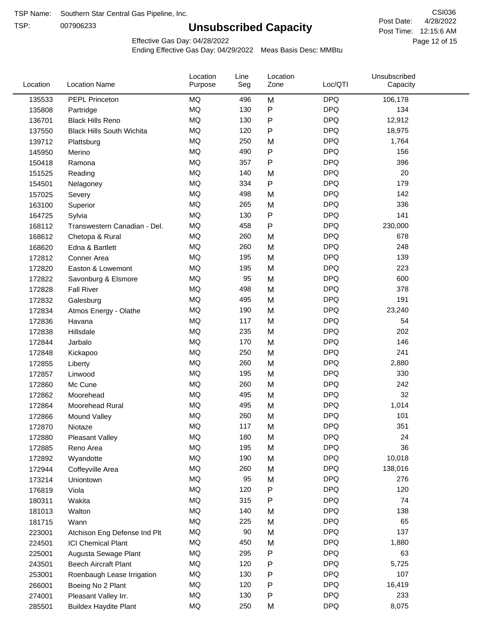TSP:

## **Unsubscribed Capacity**

4/28/2022 Page 12 of 15 Post Time: 12:15:6 AM CSI036 Post Date:

Effective Gas Day: 04/28/2022

| Location | <b>Location Name</b>             | Location<br>Purpose | Line<br>Seg | Location<br>Zone | Loc/QTI    | Unsubscribed<br>Capacity |  |
|----------|----------------------------------|---------------------|-------------|------------------|------------|--------------------------|--|
| 135533   | PEPL Princeton                   | <b>MQ</b>           | 496         | M                | <b>DPQ</b> | 106,178                  |  |
| 135808   | Partridge                        | <b>MQ</b>           | 130         | P                | <b>DPQ</b> | 134                      |  |
| 136701   | <b>Black Hills Reno</b>          | MQ                  | 130         | P                | <b>DPQ</b> | 12,912                   |  |
| 137550   | <b>Black Hills South Wichita</b> | <b>MQ</b>           | 120         | P                | <b>DPQ</b> | 18,975                   |  |
| 139712   | Plattsburg                       | <b>MQ</b>           | 250         | M                | <b>DPQ</b> | 1,764                    |  |
| 145950   | Merino                           | <b>MQ</b>           | 490         | P                | <b>DPQ</b> | 156                      |  |
| 150418   | Ramona                           | <b>MQ</b>           | 357         | Ρ                | <b>DPQ</b> | 396                      |  |
| 151525   | Reading                          | <b>MQ</b>           | 140         | M                | <b>DPQ</b> | 20                       |  |
| 154501   | Nelagoney                        | MQ                  | 334         | P                | <b>DPQ</b> | 179                      |  |
| 157025   | Severy                           | <b>MQ</b>           | 498         | M                | <b>DPQ</b> | 142                      |  |
| 163100   | Superior                         | <b>MQ</b>           | 265         | M                | <b>DPQ</b> | 336                      |  |
| 164725   | Sylvia                           | <b>MQ</b>           | 130         | P                | <b>DPQ</b> | 141                      |  |
| 168112   | Transwestern Canadian - Del.     | <b>MQ</b>           | 458         | P                | <b>DPQ</b> | 230,000                  |  |
| 168612   | Chetopa & Rural                  | <b>MQ</b>           | 260         | M                | <b>DPQ</b> | 678                      |  |
| 168620   | Edna & Bartlett                  | <b>MQ</b>           | 260         | M                | <b>DPQ</b> | 248                      |  |
| 172812   | Conner Area                      | <b>MQ</b>           | 195         | M                | <b>DPQ</b> | 139                      |  |
| 172820   | Easton & Lowemont                | MQ                  | 195         | M                | <b>DPQ</b> | 223                      |  |
| 172822   | Savonburg & Elsmore              | MQ                  | 95          | M                | <b>DPQ</b> | 600                      |  |
| 172828   | <b>Fall River</b>                | <b>MQ</b>           | 498         | M                | <b>DPQ</b> | 378                      |  |
| 172832   | Galesburg                        | <b>MQ</b>           | 495         | M                | <b>DPQ</b> | 191                      |  |
| 172834   | Atmos Energy - Olathe            | <b>MQ</b>           | 190         | M                | <b>DPQ</b> | 23,240                   |  |
| 172836   | Havana                           | <b>MQ</b>           | 117         | M                | <b>DPQ</b> | 54                       |  |
| 172838   | Hillsdale                        | <b>MQ</b>           | 235         | M                | <b>DPQ</b> | 202                      |  |
| 172844   | Jarbalo                          | <b>MQ</b>           | 170         | M                | <b>DPQ</b> | 146                      |  |
| 172848   | Kickapoo                         | <b>MQ</b>           | 250         | M                | <b>DPQ</b> | 241                      |  |
| 172855   | Liberty                          | <b>MQ</b>           | 260         | M                | <b>DPQ</b> | 2,880                    |  |
| 172857   | Linwood                          | <b>MQ</b>           | 195         | M                | <b>DPQ</b> | 330                      |  |
| 172860   | Mc Cune                          | <b>MQ</b>           | 260         | M                | <b>DPQ</b> | 242                      |  |
| 172862   | Moorehead                        | <b>MQ</b>           | 495         | M                | <b>DPQ</b> | 32                       |  |
| 172864   | Moorehead Rural                  | <b>MQ</b>           | 495         | M                | <b>DPQ</b> | 1,014                    |  |
| 172866   | Mound Valley                     | <b>MQ</b>           | 260         | M                | <b>DPQ</b> | 101                      |  |
| 172870   | Niotaze                          | MQ                  | 117         | M                | <b>DPQ</b> | 351                      |  |
| 172880   | <b>Pleasant Valley</b>           | MQ                  | 180         | M                | <b>DPQ</b> | 24                       |  |
| 172885   | Reno Area                        | <b>MQ</b>           | 195         | M                | <b>DPQ</b> | 36                       |  |
| 172892   | Wyandotte                        | MQ                  | 190         | M                | <b>DPQ</b> | 10,018                   |  |
| 172944   | Coffeyville Area                 | <b>MQ</b>           | 260         | M                | <b>DPQ</b> | 138,016                  |  |
| 173214   | Uniontown                        | MQ                  | 95          | M                | <b>DPQ</b> | 276                      |  |
| 176819   | Viola                            | <b>MQ</b>           | 120         | Ρ                | <b>DPQ</b> | 120                      |  |
| 180311   | Wakita                           | MQ                  | 315         | Ρ                | <b>DPQ</b> | 74                       |  |
| 181013   | Walton                           | MQ                  | 140         | M                | <b>DPQ</b> | 138                      |  |
| 181715   | Wann                             | MQ                  | 225         | M                | <b>DPQ</b> | 65                       |  |
| 223001   | Atchison Eng Defense Ind Plt     | MQ                  | 90          | M                | <b>DPQ</b> | 137                      |  |
| 224501   | <b>ICI Chemical Plant</b>        | <b>MQ</b>           | 450         | M                | <b>DPQ</b> | 1,880                    |  |
| 225001   | Augusta Sewage Plant             | MQ                  | 295         | Ρ                | <b>DPQ</b> | 63                       |  |
| 243501   | <b>Beech Aircraft Plant</b>      | MQ                  | 120         | Ρ                | <b>DPQ</b> | 5,725                    |  |
| 253001   | Roenbaugh Lease Irrigation       | MQ                  | 130         | Ρ                | <b>DPQ</b> | 107                      |  |
| 266001   | Boeing No 2 Plant                | MQ                  | 120         | Ρ                | <b>DPQ</b> | 16,419                   |  |
| 274001   | Pleasant Valley Irr.             | MQ                  | 130         | P                | <b>DPQ</b> | 233                      |  |
| 285501   | <b>Buildex Haydite Plant</b>     | <b>MQ</b>           | 250         | M                | <b>DPQ</b> | 8,075                    |  |
|          |                                  |                     |             |                  |            |                          |  |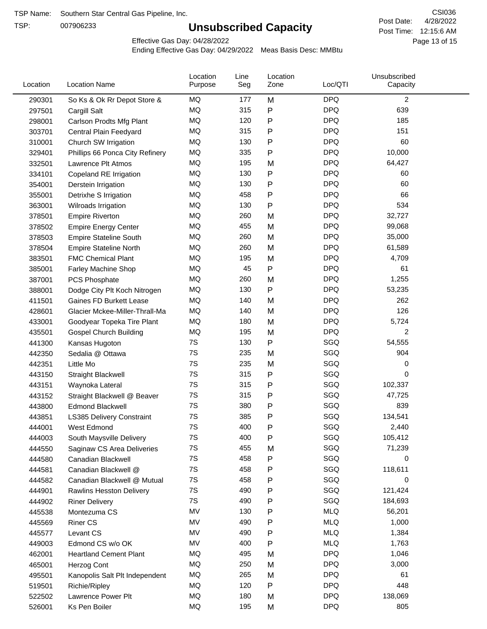TSP:

## **Unsubscribed Capacity**

4/28/2022 Page 13 of 15 Post Time: 12:15:6 AM CSI036 Post Date:

Effective Gas Day: 04/28/2022

| Location | <b>Location Name</b>            | Location<br>Purpose | Line<br>Seg | Location<br>Zone | Loc/QTI    | Unsubscribed<br>Capacity |  |
|----------|---------------------------------|---------------------|-------------|------------------|------------|--------------------------|--|
| 290301   | So Ks & Ok Rr Depot Store &     | MQ                  | 177         | M                | <b>DPQ</b> | 2                        |  |
| 297501   | Cargill Salt                    | MQ                  | 315         | P                | <b>DPQ</b> | 639                      |  |
| 298001   | Carlson Prodts Mfg Plant        | MQ                  | 120         | P                | <b>DPQ</b> | 185                      |  |
| 303701   | Central Plain Feedyard          | MQ                  | 315         | P                | <b>DPQ</b> | 151                      |  |
| 310001   | Church SW Irrigation            | MQ                  | 130         | P                | <b>DPQ</b> | 60                       |  |
| 329401   | Phillips 66 Ponca City Refinery | MQ                  | 335         | $\mathsf{P}$     | <b>DPQ</b> | 10,000                   |  |
| 332501   | Lawrence Plt Atmos              | MQ                  | 195         | M                | <b>DPQ</b> | 64,427                   |  |
| 334101   | Copeland RE Irrigation          | MQ                  | 130         | P                | <b>DPQ</b> | 60                       |  |
| 354001   | Derstein Irrigation             | MQ                  | 130         | P                | <b>DPQ</b> | 60                       |  |
| 355001   | Detrixhe S Irrigation           | MQ                  | 458         | P                | <b>DPQ</b> | 66                       |  |
| 363001   | Wilroads Irrigation             | MQ                  | 130         | $\mathsf{P}$     | <b>DPQ</b> | 534                      |  |
| 378501   | <b>Empire Riverton</b>          | MQ                  | 260         | M                | <b>DPQ</b> | 32,727                   |  |
| 378502   | <b>Empire Energy Center</b>     | <b>MQ</b>           | 455         | M                | <b>DPQ</b> | 99,068                   |  |
| 378503   | <b>Empire Stateline South</b>   | MQ                  | 260         | M                | <b>DPQ</b> | 35,000                   |  |
| 378504   | <b>Empire Stateline North</b>   | MQ                  | 260         | M                | <b>DPQ</b> | 61,589                   |  |
| 383501   | <b>FMC Chemical Plant</b>       | MQ                  | 195         | M                | <b>DPQ</b> | 4,709                    |  |
| 385001   | Farley Machine Shop             | MQ                  | 45          | P                | <b>DPQ</b> | 61                       |  |
| 387001   | PCS Phosphate                   | MQ                  | 260         | M                | <b>DPQ</b> | 1,255                    |  |
| 388001   | Dodge City Plt Koch Nitrogen    | MQ                  | 130         | P                | <b>DPQ</b> | 53,235                   |  |
| 411501   | Gaines FD Burkett Lease         | MQ                  | 140         | M                | <b>DPQ</b> | 262                      |  |
| 428601   | Glacier Mckee-Miller-Thrall-Ma  | <b>MQ</b>           | 140         | M                | <b>DPQ</b> | 126                      |  |
| 433001   | Goodyear Topeka Tire Plant      | <b>MQ</b>           | 180         | M                | <b>DPQ</b> | 5,724                    |  |
| 435501   | <b>Gospel Church Building</b>   | MQ                  | 195         | M                | <b>DPQ</b> | 2                        |  |
| 441300   | Kansas Hugoton                  | 7S                  | 130         | P                | SGQ        | 54,555                   |  |
| 442350   | Sedalia @ Ottawa                | 7S                  | 235         | M                | SGQ        | 904                      |  |
| 442351   | Little Mo                       | 7S                  | 235         | M                | SGQ        | 0                        |  |
| 443150   | Straight Blackwell              | 7S                  | 315         | P                | SGQ        | 0                        |  |
| 443151   | Waynoka Lateral                 | 7S                  | 315         | P                | SGQ        | 102,337                  |  |
| 443152   | Straight Blackwell @ Beaver     | 7S                  | 315         | P                | SGQ        | 47,725                   |  |
| 443800   | <b>Edmond Blackwell</b>         | 7S                  | 380         | P                | SGQ        | 839                      |  |
| 443851   | LS385 Delivery Constraint       | 7S                  | 385         | P                | SGQ        | 134,541                  |  |
| 444001   | West Edmond                     | 7S                  | 400         | P                | SGQ        | 2,440                    |  |
| 444003   | South Maysville Delivery        | 7S                  | 400         | P                | SGQ        | 105,412                  |  |
| 444550   | Saginaw CS Area Deliveries      | 7S                  | 455         | M                | SGQ        | 71,239                   |  |
| 444580   | Canadian Blackwell              | 7S                  | 458         | P                | SGQ        | 0                        |  |
| 444581   | Canadian Blackwell @            | 7S                  | 458         | P                | SGQ        | 118,611                  |  |
| 444582   | Canadian Blackwell @ Mutual     | 7S                  | 458         | P                | SGQ        | 0                        |  |
| 444901   | Rawlins Hesston Delivery        | 7S                  | 490         | P                | SGQ        | 121,424                  |  |
| 444902   | <b>Riner Delivery</b>           | 7S                  | 490         | P                | SGQ        | 184,693                  |  |
| 445538   | Montezuma CS                    | MV                  | 130         | P                | <b>MLQ</b> | 56,201                   |  |
| 445569   | <b>Riner CS</b>                 | MV                  | 490         | P                | <b>MLQ</b> | 1,000                    |  |
| 445577   | Levant CS                       | MV                  | 490         | P                | <b>MLQ</b> | 1,384                    |  |
| 449003   | Edmond CS w/o OK                | MV                  | 400         | $\mathsf{P}$     | <b>MLQ</b> | 1,763                    |  |
| 462001   | <b>Heartland Cement Plant</b>   | MQ                  | 495         | M                | <b>DPQ</b> | 1,046                    |  |
| 465001   | Herzog Cont                     | MQ                  | 250         | M                | <b>DPQ</b> | 3,000                    |  |
| 495501   | Kanopolis Salt Plt Independent  | MQ                  | 265         | M                | <b>DPQ</b> | 61                       |  |
| 519501   | Richie/Ripley                   | MQ                  | 120         | P                | <b>DPQ</b> | 448                      |  |
| 522502   | Lawrence Power Plt              | MQ                  | 180         | M                | <b>DPQ</b> | 138,069                  |  |
| 526001   | Ks Pen Boiler                   | MQ                  | 195         | M                | <b>DPQ</b> | 805                      |  |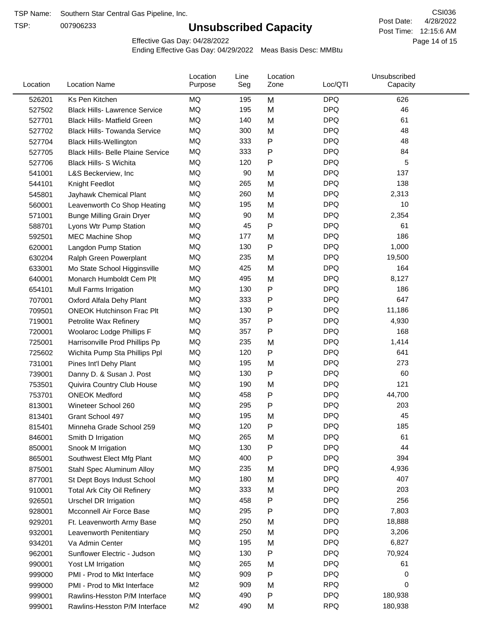TSP:

## **Unsubscribed Capacity**

4/28/2022 Page 14 of 15 Post Time: 12:15:6 AM CSI036 Post Date:

Effective Gas Day: 04/28/2022

| Location | <b>Location Name</b>                     | Location<br>Purpose | Line<br>Seg | Location<br>Zone | Loc/QTI    | Unsubscribed<br>Capacity |
|----------|------------------------------------------|---------------------|-------------|------------------|------------|--------------------------|
| 526201   | Ks Pen Kitchen                           | MQ                  | 195         | M                | <b>DPQ</b> | 626                      |
| 527502   | <b>Black Hills- Lawrence Service</b>     | MQ                  | 195         | M                | <b>DPQ</b> | 46                       |
| 527701   | <b>Black Hills- Matfield Green</b>       | MQ                  | 140         | M                | <b>DPQ</b> | 61                       |
| 527702   | <b>Black Hills- Towanda Service</b>      | MQ                  | 300         | M                | <b>DPQ</b> | 48                       |
| 527704   | <b>Black Hills-Wellington</b>            | <b>MQ</b>           | 333         | P                | <b>DPQ</b> | 48                       |
| 527705   | <b>Black Hills- Belle Plaine Service</b> | MQ                  | 333         | P                | <b>DPQ</b> | 84                       |
| 527706   | Black Hills- S Wichita                   | MQ                  | 120         | P                | <b>DPQ</b> | 5                        |
| 541001   | L&S Beckerview, Inc                      | MQ                  | 90          | M                | <b>DPQ</b> | 137                      |
| 544101   | Knight Feedlot                           | MQ                  | 265         | M                | <b>DPQ</b> | 138                      |
| 545801   | Jayhawk Chemical Plant                   | MQ                  | 260         | M                | <b>DPQ</b> | 2,313                    |
| 560001   | Leavenworth Co Shop Heating              | MQ                  | 195         | M                | <b>DPQ</b> | 10                       |
| 571001   | <b>Bunge Milling Grain Dryer</b>         | MQ                  | 90          | M                | <b>DPQ</b> | 2,354                    |
| 588701   | Lyons Wtr Pump Station                   | MQ                  | 45          | P                | <b>DPQ</b> | 61                       |
| 592501   | <b>MEC Machine Shop</b>                  | <b>MQ</b>           | 177         | M                | <b>DPQ</b> | 186                      |
| 620001   | Langdon Pump Station                     | MQ                  | 130         | P                | <b>DPQ</b> | 1,000                    |
| 630204   | Ralph Green Powerplant                   | MQ                  | 235         | M                | <b>DPQ</b> | 19,500                   |
| 633001   | Mo State School Higginsville             | MQ                  | 425         | M                | <b>DPQ</b> | 164                      |
| 640001   | Monarch Humboldt Cem Plt                 | MQ                  | 495         | M                | <b>DPQ</b> | 8,127                    |
| 654101   | Mull Farms Irrigation                    | MQ                  | 130         | P                | <b>DPQ</b> | 186                      |
| 707001   | Oxford Alfala Dehy Plant                 | MQ                  | 333         | Ρ                | <b>DPQ</b> | 647                      |
| 709501   | <b>ONEOK Hutchinson Frac Plt</b>         | MQ                  | 130         | P                | <b>DPQ</b> | 11,186                   |
| 719001   | Petrolite Wax Refinery                   | MQ                  | 357         | Ρ                | <b>DPQ</b> | 4,930                    |
| 720001   | Woolaroc Lodge Phillips F                | MQ                  | 357         | Ρ                | <b>DPQ</b> | 168                      |
| 725001   | Harrisonville Prod Phillips Pp           | <b>MQ</b>           | 235         | M                | <b>DPQ</b> | 1,414                    |
| 725602   | Wichita Pump Sta Phillips Ppl            | MQ                  | 120         | Ρ                | <b>DPQ</b> | 641                      |
| 731001   | Pines Int'l Dehy Plant                   | MQ                  | 195         | M                | <b>DPQ</b> | 273                      |
| 739001   | Danny D. & Susan J. Post                 | MQ                  | 130         | P                | <b>DPQ</b> | 60                       |
| 753501   | Quivira Country Club House               | MQ                  | 190         | M                | <b>DPQ</b> | 121                      |
| 753701   | <b>ONEOK Medford</b>                     | MQ                  | 458         | Ρ                | <b>DPQ</b> | 44,700                   |
| 813001   | Wineteer School 260                      | MQ                  | 295         | P                | <b>DPQ</b> | 203                      |
| 813401   | Grant School 497                         | MQ                  | 195         | M                | <b>DPQ</b> | 45                       |
| 815401   | Minneha Grade School 259                 | MQ                  | 120         | P                | <b>DPQ</b> | 185                      |
| 846001   | Smith D Irrigation                       | MQ                  | 265         | M                | <b>DPQ</b> | 61                       |
| 850001   | Snook M Irrigation                       | MQ                  | 130         | Ρ                | <b>DPQ</b> | 44                       |
| 865001   | Southwest Elect Mfg Plant                | MQ                  | 400         | P                | <b>DPQ</b> | 394                      |
| 875001   | Stahl Spec Aluminum Alloy                | MQ                  | 235         | M                | <b>DPQ</b> | 4,936                    |
| 877001   | St Dept Boys Indust School               | MQ                  | 180         | M                | <b>DPQ</b> | 407                      |
| 910001   | <b>Total Ark City Oil Refinery</b>       | MQ                  | 333         | M                | <b>DPQ</b> | 203                      |
| 926501   | <b>Urschel DR Irrigation</b>             | MQ                  | 458         | Ρ                | <b>DPQ</b> | 256                      |
| 928001   | Mcconnell Air Force Base                 | MQ                  | 295         | P                | <b>DPQ</b> | 7,803                    |
| 929201   | Ft. Leavenworth Army Base                | MQ                  | 250         | M                | <b>DPQ</b> | 18,888                   |
| 932001   | Leavenworth Penitentiary                 | MQ                  | 250         | M                | <b>DPQ</b> | 3,206                    |
| 934201   | Va Admin Center                          | MQ                  | 195         | M                | <b>DPQ</b> | 6,827                    |
| 962001   | Sunflower Electric - Judson              | MQ                  | 130         | P                | <b>DPQ</b> | 70,924                   |
| 990001   | Yost LM Irrigation                       | MQ                  | 265         | M                | <b>DPQ</b> | 61                       |
| 999000   | PMI - Prod to Mkt Interface              | MQ                  | 909         | Ρ                | <b>DPQ</b> | 0                        |
| 999000   | PMI - Prod to Mkt Interface              | M <sub>2</sub>      | 909         | M                | <b>RPQ</b> | 0                        |
| 999001   | Rawlins-Hesston P/M Interface            | MQ                  | 490         | P                | <b>DPQ</b> | 180,938                  |
| 999001   | Rawlins-Hesston P/M Interface            | M <sub>2</sub>      | 490         | M                | <b>RPQ</b> | 180,938                  |